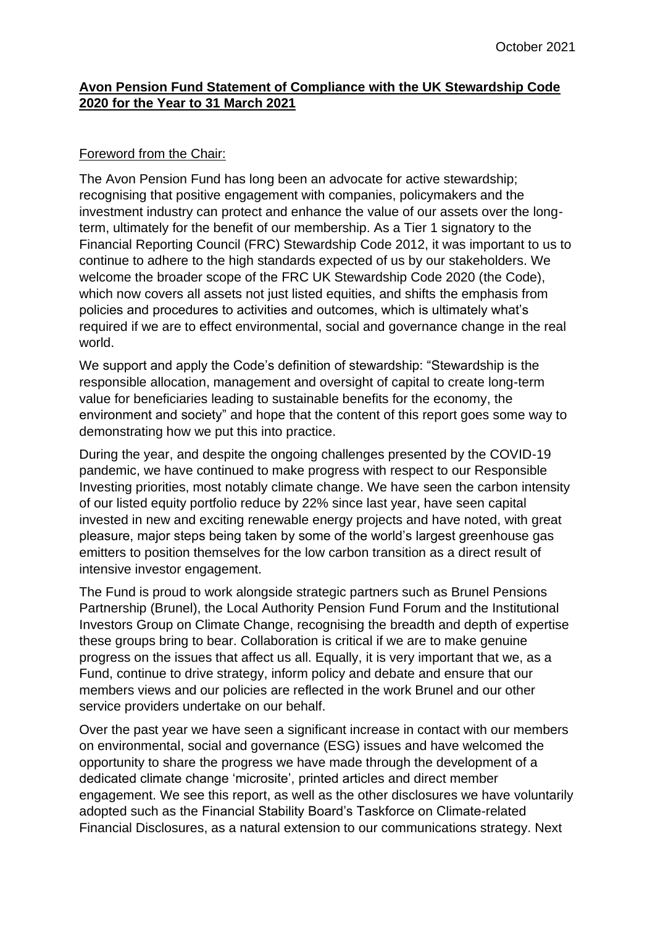## **Avon Pension Fund Statement of Compliance with the UK Stewardship Code 2020 for the Year to 31 March 2021**

## Foreword from the Chair:

The Avon Pension Fund has long been an advocate for active stewardship; recognising that positive engagement with companies, policymakers and the investment industry can protect and enhance the value of our assets over the longterm, ultimately for the benefit of our membership. As a Tier 1 signatory to the Financial Reporting Council (FRC) Stewardship Code 2012, it was important to us to continue to adhere to the high standards expected of us by our stakeholders. We welcome the broader scope of the FRC UK Stewardship Code 2020 (the Code), which now covers all assets not just listed equities, and shifts the emphasis from policies and procedures to activities and outcomes, which is ultimately what's required if we are to effect environmental, social and governance change in the real world.

We support and apply the Code's definition of stewardship: "Stewardship is the responsible allocation, management and oversight of capital to create long-term value for beneficiaries leading to sustainable benefits for the economy, the environment and society" and hope that the content of this report goes some way to demonstrating how we put this into practice.

During the year, and despite the ongoing challenges presented by the COVID-19 pandemic, we have continued to make progress with respect to our Responsible Investing priorities, most notably climate change. We have seen the carbon intensity of our listed equity portfolio reduce by 22% since last year, have seen capital invested in new and exciting renewable energy projects and have noted, with great pleasure, major steps being taken by some of the world's largest greenhouse gas emitters to position themselves for the low carbon transition as a direct result of intensive investor engagement.

The Fund is proud to work alongside strategic partners such as Brunel Pensions Partnership (Brunel), the Local Authority Pension Fund Forum and the Institutional Investors Group on Climate Change, recognising the breadth and depth of expertise these groups bring to bear. Collaboration is critical if we are to make genuine progress on the issues that affect us all. Equally, it is very important that we, as a Fund, continue to drive strategy, inform policy and debate and ensure that our members views and our policies are reflected in the work Brunel and our other service providers undertake on our behalf.

Over the past year we have seen a significant increase in contact with our members on environmental, social and governance (ESG) issues and have welcomed the opportunity to share the progress we have made through the development of a dedicated climate change 'microsite', printed articles and direct member engagement. We see this report, as well as the other disclosures we have voluntarily adopted such as the Financial Stability Board's Taskforce on Climate-related Financial Disclosures, as a natural extension to our communications strategy. Next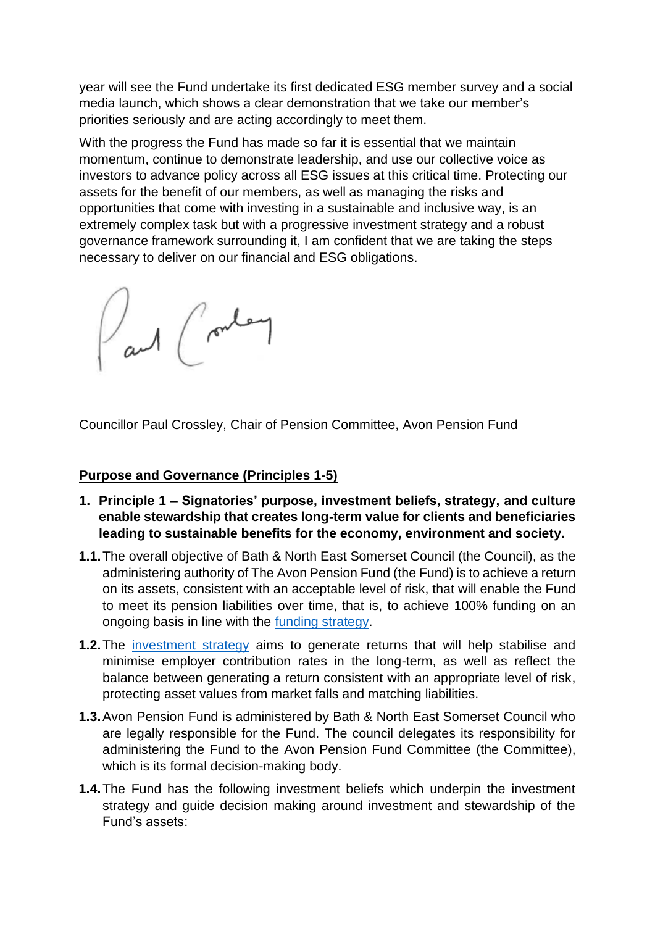year will see the Fund undertake its first dedicated ESG member survey and a social media launch, which shows a clear demonstration that we take our member's priorities seriously and are acting accordingly to meet them.

With the progress the Fund has made so far it is essential that we maintain momentum, continue to demonstrate leadership, and use our collective voice as investors to advance policy across all ESG issues at this critical time. Protecting our assets for the benefit of our members, as well as managing the risks and opportunities that come with investing in a sustainable and inclusive way, is an extremely complex task but with a progressive investment strategy and a robust governance framework surrounding it, I am confident that we are taking the steps necessary to deliver on our financial and ESG obligations.

and (router

Councillor Paul Crossley, Chair of Pension Committee, Avon Pension Fund

## **Purpose and Governance (Principles 1-5)**

- **1. Principle 1 – Signatories' purpose, investment beliefs, strategy, and culture enable stewardship that creates long-term value for clients and beneficiaries leading to sustainable benefits for the economy, environment and society.**
- **1.1.**The overall objective of Bath & North East Somerset Council (the Council), as the administering authority of The Avon Pension Fund (the Fund) is to achieve a return on its assets, consistent with an acceptable level of risk, that will enable the Fund to meet its pension liabilities over time, that is, to achieve 100% funding on an ongoing basis in line with the [funding strategy.](https://www.avonpensionfund.org.uk/sites/default/files/FSS-20210416.pdf)
- **1.2.**The [investment strategy](https://www.avonpensionfund.org.uk/sites/default/files/ISS-20200925.pdf) aims to generate returns that will help stabilise and minimise employer contribution rates in the long-term, as well as reflect the balance between generating a return consistent with an appropriate level of risk, protecting asset values from market falls and matching liabilities.
- **1.3.**Avon Pension Fund is administered by Bath & North East Somerset Council who are legally responsible for the Fund. The council delegates its responsibility for administering the Fund to the Avon Pension Fund Committee (the Committee), which is its formal decision-making body.
- **1.4.**The Fund has the following investment beliefs which underpin the investment strategy and guide decision making around investment and stewardship of the Fund's assets: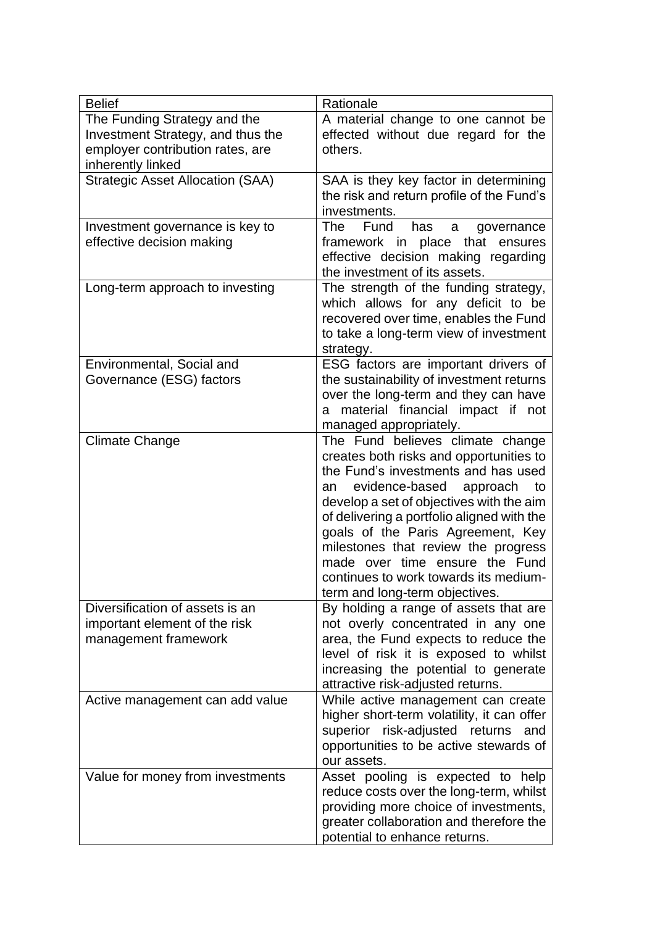| <b>Belief</b>                           | Rationale                                                                       |
|-----------------------------------------|---------------------------------------------------------------------------------|
| The Funding Strategy and the            | A material change to one cannot be                                              |
| Investment Strategy, and thus the       | effected without due regard for the                                             |
| employer contribution rates, are        | others.                                                                         |
| inherently linked                       |                                                                                 |
| <b>Strategic Asset Allocation (SAA)</b> | SAA is they key factor in determining                                           |
|                                         | the risk and return profile of the Fund's                                       |
|                                         | investments.                                                                    |
| Investment governance is key to         | Fund<br>The<br>has<br>governance<br>a                                           |
| effective decision making               | that<br>framework in place<br>ensures                                           |
|                                         | effective decision making regarding<br>the investment of its assets.            |
| Long-term approach to investing         | The strength of the funding strategy,                                           |
|                                         | which allows for any deficit to be                                              |
|                                         | recovered over time, enables the Fund                                           |
|                                         | to take a long-term view of investment                                          |
|                                         | strategy.                                                                       |
| Environmental, Social and               | ESG factors are important drivers of                                            |
| Governance (ESG) factors                | the sustainability of investment returns                                        |
|                                         | over the long-term and they can have                                            |
|                                         | material financial impact if not<br>a                                           |
|                                         | managed appropriately.                                                          |
| <b>Climate Change</b>                   | The Fund believes climate change                                                |
|                                         | creates both risks and opportunities to                                         |
|                                         | the Fund's investments and has used                                             |
|                                         | evidence-based<br>approach<br>to<br>an                                          |
|                                         | develop a set of objectives with the aim                                        |
|                                         | of delivering a portfolio aligned with the<br>goals of the Paris Agreement, Key |
|                                         | milestones that review the progress                                             |
|                                         | made over time ensure the Fund                                                  |
|                                         | continues to work towards its medium-                                           |
|                                         | term and long-term objectives.                                                  |
| Diversification of assets is an         | By holding a range of assets that are                                           |
| important element of the risk           | not overly concentrated in any one                                              |
| management framework                    | area, the Fund expects to reduce the                                            |
|                                         | level of risk it is exposed to whilst                                           |
|                                         | increasing the potential to generate                                            |
|                                         | attractive risk-adjusted returns.                                               |
| Active management can add value         | While active management can create                                              |
|                                         | higher short-term volatility, it can offer                                      |
|                                         | superior risk-adjusted returns and                                              |
|                                         | opportunities to be active stewards of                                          |
| Value for money from investments        | our assets.<br>Asset pooling is expected to help                                |
|                                         | reduce costs over the long-term, whilst                                         |
|                                         | providing more choice of investments,                                           |
|                                         | greater collaboration and therefore the                                         |
|                                         | potential to enhance returns.                                                   |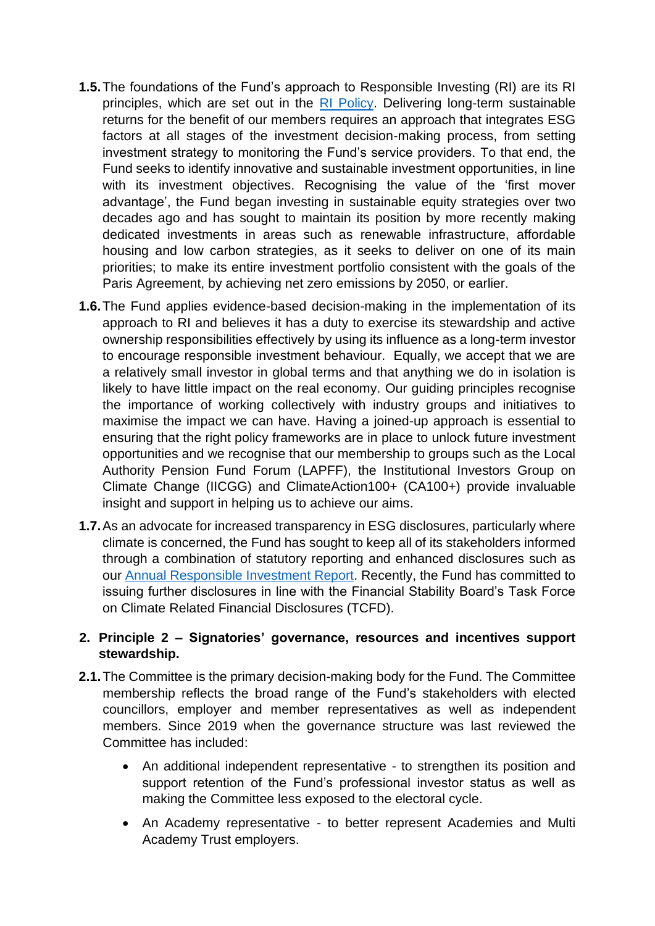- **1.5.**The foundations of the Fund's approach to Responsible Investing (RI) are its RI principles, which are set out in the [RI Policy.](https://www.avonpensionfund.org.uk/sites/default/files/RIP2016.pdf) Delivering long-term sustainable returns for the benefit of our members requires an approach that integrates ESG factors at all stages of the investment decision-making process, from setting investment strategy to monitoring the Fund's service providers. To that end, the Fund seeks to identify innovative and sustainable investment opportunities, in line with its investment objectives. Recognising the value of the 'first mover advantage', the Fund began investing in sustainable equity strategies over two decades ago and has sought to maintain its position by more recently making dedicated investments in areas such as renewable infrastructure, affordable housing and low carbon strategies, as it seeks to deliver on one of its main priorities; to make its entire investment portfolio consistent with the goals of the Paris Agreement, by achieving net zero emissions by 2050, or earlier.
- **1.6.**The Fund applies evidence-based decision-making in the implementation of its approach to RI and believes it has a duty to exercise its stewardship and active ownership responsibilities effectively by using its influence as a long-term investor to encourage responsible investment behaviour. Equally, we accept that we are a relatively small investor in global terms and that anything we do in isolation is likely to have little impact on the real economy. Our guiding principles recognise the importance of working collectively with industry groups and initiatives to maximise the impact we can have. Having a joined-up approach is essential to ensuring that the right policy frameworks are in place to unlock future investment opportunities and we recognise that our membership to groups such as the Local Authority Pension Fund Forum (LAPFF), the Institutional Investors Group on Climate Change (IICGG) and ClimateAction100+ (CA100+) provide invaluable insight and support in helping us to achieve our aims.
- **1.7.**As an advocate for increased transparency in ESG disclosures, particularly where climate is concerned, the Fund has sought to keep all of its stakeholders informed through a combination of statutory reporting and enhanced disclosures such as our [Annual Responsible Investment Report.](https://www.avonpensionfund.org.uk/sites/default/files/Responsible-Investing-Annual-Report-201920.pdf) Recently, the Fund has committed to issuing further disclosures in line with the Financial Stability Board's Task Force on Climate Related Financial Disclosures (TCFD).

## **2. Principle 2 – Signatories' governance, resources and incentives support stewardship.**

- **2.1.**The Committee is the primary decision-making body for the Fund. The Committee membership reflects the broad range of the Fund's stakeholders with elected councillors, employer and member representatives as well as independent members. Since 2019 when the governance structure was last reviewed the Committee has included:
	- An additional independent representative to strengthen its position and support retention of the Fund's professional investor status as well as making the Committee less exposed to the electoral cycle.
	- An Academy representative to better represent Academies and Multi Academy Trust employers.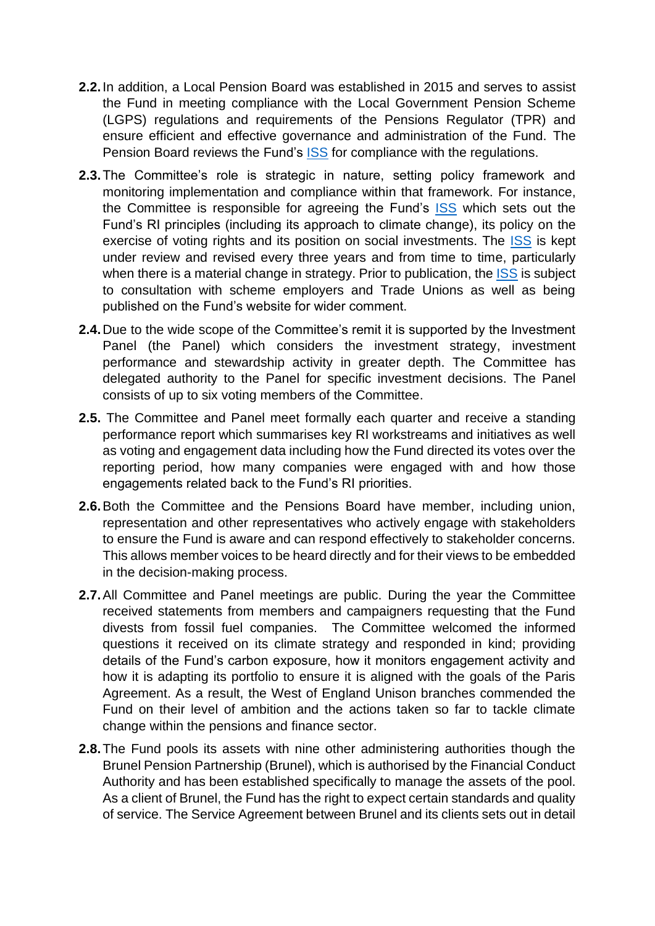- **2.2.**In addition, a Local Pension Board was established in 2015 and serves to assist the Fund in meeting compliance with the Local Government Pension Scheme (LGPS) regulations and requirements of the Pensions Regulator (TPR) and ensure efficient and effective governance and administration of the Fund. The Pension Board reviews the Fund's [ISS](https://www.avonpensionfund.org.uk/sites/default/files/ISS-20200925.pdf) for compliance with the regulations.
- **2.3.**The Committee's role is strategic in nature, setting policy framework and monitoring implementation and compliance within that framework. For instance, the Committee is responsible for agreeing the Fund's [ISS](https://www.avonpensionfund.org.uk/sites/default/files/ISS-20200925.pdf) which sets out the Fund's RI principles (including its approach to climate change), its policy on the exercise of voting rights and its position on social investments. The [ISS](https://www.avonpensionfund.org.uk/sites/default/files/ISS-20200925.pdf) is kept under review and revised every three years and from time to time, particularly when there is a material change in strategy. Prior to publication, the [ISS](https://www.avonpensionfund.org.uk/sites/default/files/ISS-20200925.pdf) is subject to consultation with scheme employers and Trade Unions as well as being published on the Fund's website for wider comment.
- **2.4.**Due to the wide scope of the Committee's remit it is supported by the Investment Panel (the Panel) which considers the investment strategy, investment performance and stewardship activity in greater depth. The Committee has delegated authority to the Panel for specific investment decisions. The Panel consists of up to six voting members of the Committee.
- **2.5.** The Committee and Panel meet formally each quarter and receive a standing performance report which summarises key RI workstreams and initiatives as well as voting and engagement data including how the Fund directed its votes over the reporting period, how many companies were engaged with and how those engagements related back to the Fund's RI priorities.
- **2.6.**Both the Committee and the Pensions Board have member, including union, representation and other representatives who actively engage with stakeholders to ensure the Fund is aware and can respond effectively to stakeholder concerns. This allows member voices to be heard directly and for their views to be embedded in the decision-making process.
- **2.7.**All Committee and Panel meetings are public. During the year the Committee received statements from members and campaigners requesting that the Fund divests from fossil fuel companies. The Committee welcomed the informed questions it received on its climate strategy and responded in kind; providing details of the Fund's carbon exposure, how it monitors engagement activity and how it is adapting its portfolio to ensure it is aligned with the goals of the Paris Agreement. As a result, the West of England Unison branches commended the Fund on their level of ambition and the actions taken so far to tackle climate change within the pensions and finance sector.
- **2.8.**The Fund pools its assets with nine other administering authorities though the Brunel Pension Partnership (Brunel), which is authorised by the Financial Conduct Authority and has been established specifically to manage the assets of the pool. As a client of Brunel, the Fund has the right to expect certain standards and quality of service. The Service Agreement between Brunel and its clients sets out in detail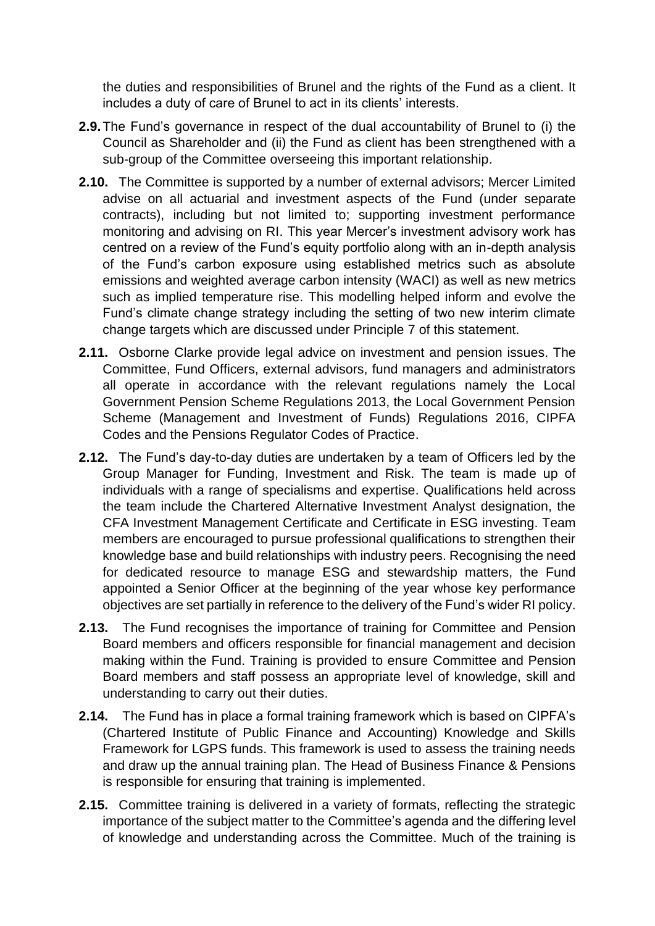the duties and responsibilities of Brunel and the rights of the Fund as a client. It includes a duty of care of Brunel to act in its clients' interests.

- **2.9.**The Fund's governance in respect of the dual accountability of Brunel to (i) the Council as Shareholder and (ii) the Fund as client has been strengthened with a sub-group of the Committee overseeing this important relationship.
- **2.10.** The Committee is supported by a number of external advisors; Mercer Limited advise on all actuarial and investment aspects of the Fund (under separate contracts), including but not limited to; supporting investment performance monitoring and advising on RI. This year Mercer's investment advisory work has centred on a review of the Fund's equity portfolio along with an in-depth analysis of the Fund's carbon exposure using established metrics such as absolute emissions and weighted average carbon intensity (WACI) as well as new metrics such as implied temperature rise. This modelling helped inform and evolve the Fund's climate change strategy including the setting of two new interim climate change targets which are discussed under Principle 7 of this statement.
- **2.11.** Osborne Clarke provide legal advice on investment and pension issues. The Committee, Fund Officers, external advisors, fund managers and administrators all operate in accordance with the relevant regulations namely the Local Government Pension Scheme Regulations 2013, the Local Government Pension Scheme (Management and Investment of Funds) Regulations 2016, CIPFA Codes and the Pensions Regulator Codes of Practice.
- **2.12.** The Fund's day-to-day duties are undertaken by a team of Officers led by the Group Manager for Funding, Investment and Risk. The team is made up of individuals with a range of specialisms and expertise. Qualifications held across the team include the Chartered Alternative Investment Analyst designation, the CFA Investment Management Certificate and Certificate in ESG investing. Team members are encouraged to pursue professional qualifications to strengthen their knowledge base and build relationships with industry peers. Recognising the need for dedicated resource to manage ESG and stewardship matters, the Fund appointed a Senior Officer at the beginning of the year whose key performance objectives are set partially in reference to the delivery of the Fund's wider RI policy.
- **2.13.** The Fund recognises the importance of training for Committee and Pension Board members and officers responsible for financial management and decision making within the Fund. Training is provided to ensure Committee and Pension Board members and staff possess an appropriate level of knowledge, skill and understanding to carry out their duties.
- **2.14.** The Fund has in place a formal training framework which is based on CIPFA's (Chartered Institute of Public Finance and Accounting) Knowledge and Skills Framework for LGPS funds. This framework is used to assess the training needs and draw up the annual training plan. The Head of Business Finance & Pensions is responsible for ensuring that training is implemented.
- **2.15.** Committee training is delivered in a variety of formats, reflecting the strategic importance of the subject matter to the Committee's agenda and the differing level of knowledge and understanding across the Committee. Much of the training is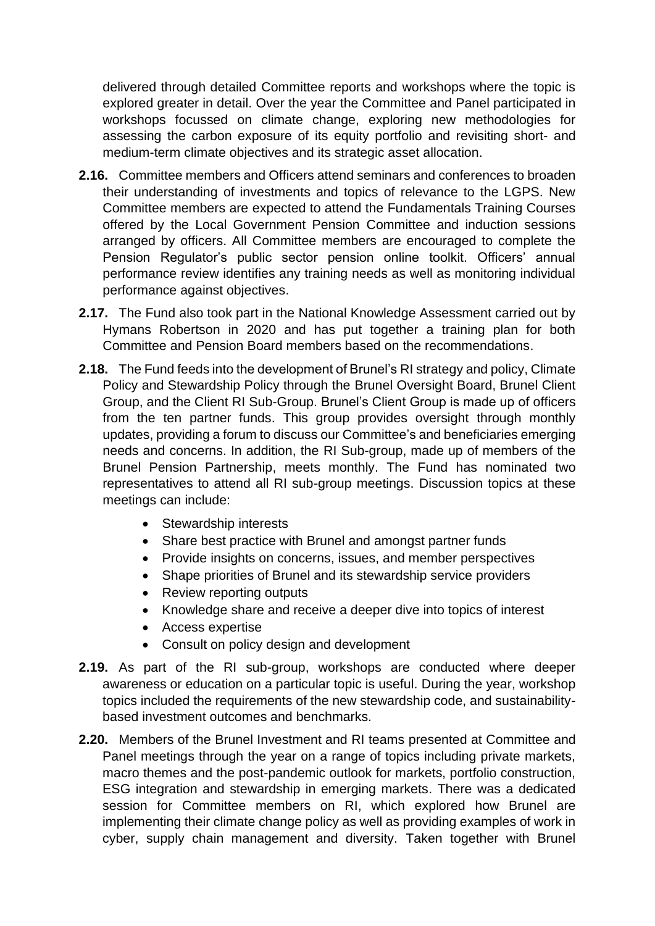delivered through detailed Committee reports and workshops where the topic is explored greater in detail. Over the year the Committee and Panel participated in workshops focussed on climate change, exploring new methodologies for assessing the carbon exposure of its equity portfolio and revisiting short- and medium-term climate objectives and its strategic asset allocation.

- **2.16.** Committee members and Officers attend seminars and conferences to broaden their understanding of investments and topics of relevance to the LGPS. New Committee members are expected to attend the Fundamentals Training Courses offered by the Local Government Pension Committee and induction sessions arranged by officers. All Committee members are encouraged to complete the Pension Regulator's public sector pension online toolkit. Officers' annual performance review identifies any training needs as well as monitoring individual performance against objectives.
- **2.17.** The Fund also took part in the National Knowledge Assessment carried out by Hymans Robertson in 2020 and has put together a training plan for both Committee and Pension Board members based on the recommendations.
- **2.18.** The Fund feeds into the development of Brunel's RI strategy and policy, Climate Policy and Stewardship Policy through the Brunel Oversight Board, Brunel Client Group, and the Client RI Sub-Group. Brunel's Client Group is made up of officers from the ten partner funds. This group provides oversight through monthly updates, providing a forum to discuss our Committee's and beneficiaries emerging needs and concerns. In addition, the RI Sub-group, made up of members of the Brunel Pension Partnership, meets monthly. The Fund has nominated two representatives to attend all RI sub-group meetings. Discussion topics at these meetings can include:
	- Stewardship interests
	- Share best practice with Brunel and amongst partner funds
	- Provide insights on concerns, issues, and member perspectives
	- Shape priorities of Brunel and its stewardship service providers
	- Review reporting outputs
	- Knowledge share and receive a deeper dive into topics of interest
	- Access expertise
	- Consult on policy design and development
- **2.19.** As part of the RI sub-group, workshops are conducted where deeper awareness or education on a particular topic is useful. During the year, workshop topics included the requirements of the new stewardship code, and sustainabilitybased investment outcomes and benchmarks.
- **2.20.** Members of the Brunel Investment and RI teams presented at Committee and Panel meetings through the year on a range of topics including private markets, macro themes and the post-pandemic outlook for markets, portfolio construction, ESG integration and stewardship in emerging markets. There was a dedicated session for Committee members on RI, which explored how Brunel are implementing their climate change policy as well as providing examples of work in cyber, supply chain management and diversity. Taken together with Brunel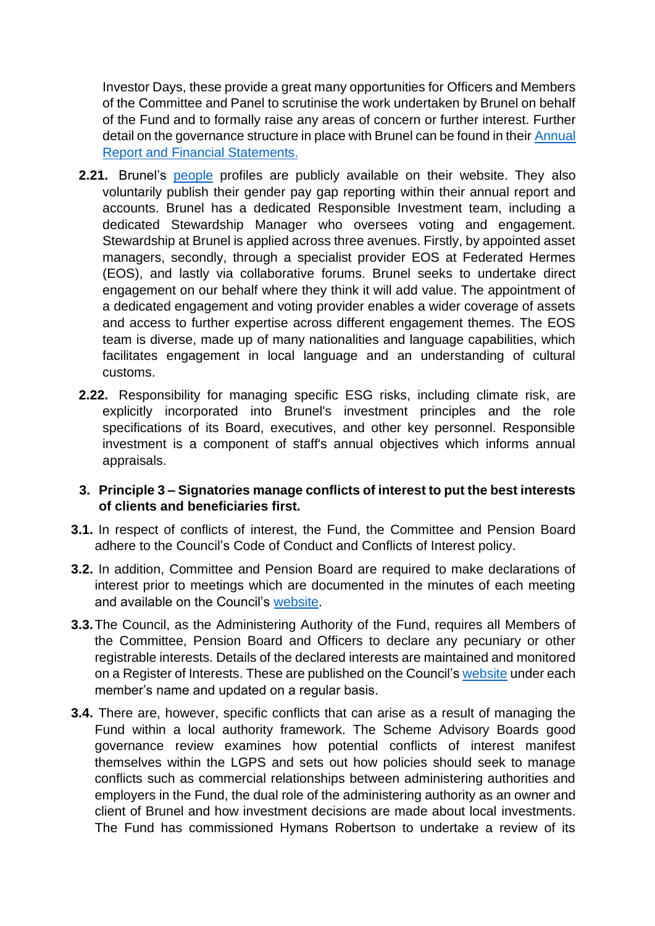Investor Days, these provide a great many opportunities for Officers and Members of the Committee and Panel to scrutinise the work undertaken by Brunel on behalf of the Fund and to formally raise any areas of concern or further interest. Further detail on the governance structure in place with Brunel can be found in their Annual [Report and Financial Statements.](https://www.brunelpensionpartnership.org/wp-content/uploads/2021/03/Brunel_Pension_Partnership_Annual_Report_2019_2020.pdf)

- **2.21.** Brunel's [people](https://www.brunelpensionpartnership.org/people/) profiles are publicly available on their website. They also voluntarily publish their gender pay gap reporting within their annual report and accounts. Brunel has a dedicated Responsible Investment team, including a dedicated Stewardship Manager who oversees voting and engagement. Stewardship at Brunel is applied across three avenues. Firstly, by appointed asset managers, secondly, through a specialist provider EOS at Federated Hermes (EOS), and lastly via collaborative forums. Brunel seeks to undertake direct engagement on our behalf where they think it will add value. The appointment of a dedicated engagement and voting provider enables a wider coverage of assets and access to further expertise across different engagement themes. The EOS team is diverse, made up of many nationalities and language capabilities, which facilitates engagement in local language and an understanding of cultural customs.
- **2.22.** Responsibility for managing specific ESG risks, including climate risk, are explicitly incorporated into Brunel's investment principles and the role specifications of its Board, executives, and other key personnel. Responsible investment is a component of staff's annual objectives which informs annual appraisals.
- **3. Principle 3 – Signatories manage conflicts of interest to put the best interests of clients and beneficiaries first.**
- **3.1.** In respect of conflicts of interest, the Fund, the Committee and Pension Board adhere to the Council's Code of Conduct and Conflicts of Interest policy.
- **3.2.** In addition, Committee and Pension Board are required to make declarations of interest prior to meetings which are documented in the minutes of each meeting and available on the Council's [website.](http://vm-civ-mgov/ieListMeetings.aspx?CId=212&Year=0)
- **3.3.**The Council, as the Administering Authority of the Fund, requires all Members of the Committee, Pension Board and Officers to declare any pecuniary or other registrable interests. Details of the declared interests are maintained and monitored on a Register of Interests. These are published on the Council's [website](http://vm-civ-mgov/mgCommitteeDetails.aspx?ID=212) under each member's name and updated on a regular basis.
- **3.4.** There are, however, specific conflicts that can arise as a result of managing the Fund within a local authority framework. The Scheme Advisory Boards good governance review examines how potential conflicts of interest manifest themselves within the LGPS and sets out how policies should seek to manage conflicts such as commercial relationships between administering authorities and employers in the Fund, the dual role of the administering authority as an owner and client of Brunel and how investment decisions are made about local investments. The Fund has commissioned Hymans Robertson to undertake a review of its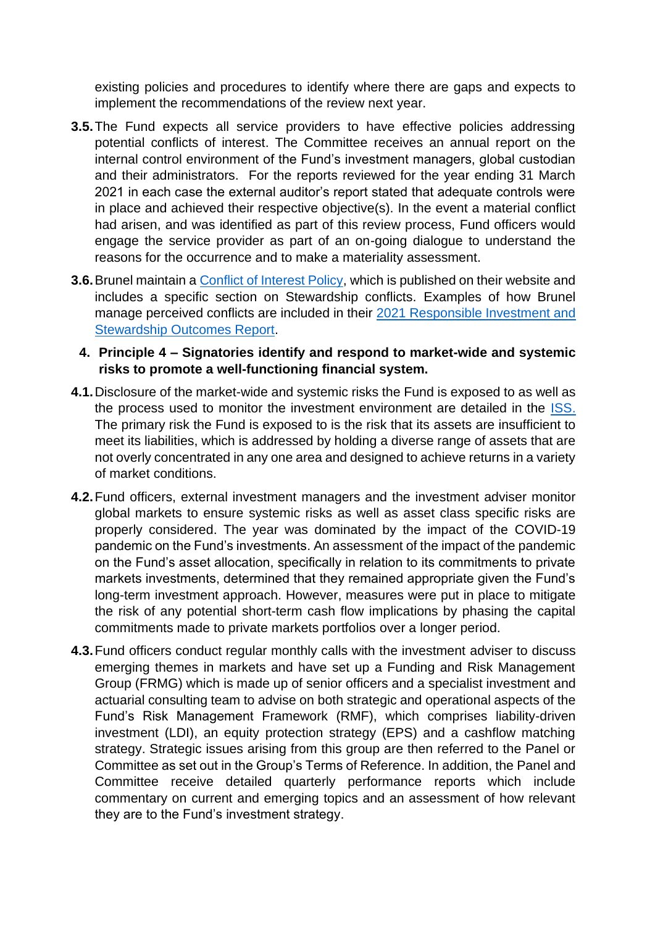existing policies and procedures to identify where there are gaps and expects to implement the recommendations of the review next year.

- **3.5.**The Fund expects all service providers to have effective policies addressing potential conflicts of interest. The Committee receives an annual report on the internal control environment of the Fund's investment managers, global custodian and their administrators. For the reports reviewed for the year ending 31 March 2021 in each case the external auditor's report stated that adequate controls were in place and achieved their respective objective(s). In the event a material conflict had arisen, and was identified as part of this review process, Fund officers would engage the service provider as part of an on-going dialogue to understand the reasons for the occurrence and to make a materiality assessment.
- **3.6.** Brunel maintain a *Conflict of Interest Policy*, which is published on their website and includes a specific section on Stewardship conflicts. Examples of how Brunel manage perceived conflicts are included in their [2021 Responsible Investment and](https://www.brunelpensionpartnership.org/responsible-investment/responsible-investment-and-stewardship-outcomes-report/)  [Stewardship Outcomes Report.](https://www.brunelpensionpartnership.org/responsible-investment/responsible-investment-and-stewardship-outcomes-report/)
	- **4. Principle 4 – Signatories identify and respond to market-wide and systemic risks to promote a well-functioning financial system.**
- **4.1.**Disclosure of the market-wide and systemic risks the Fund is exposed to as well as the process used to monitor the investment environment are detailed in the [ISS.](https://www.avonpensionfund.org.uk/sites/default/files/ISS-20200925.pdf) The primary risk the Fund is exposed to is the risk that its assets are insufficient to meet its liabilities, which is addressed by holding a diverse range of assets that are not overly concentrated in any one area and designed to achieve returns in a variety of market conditions.
- **4.2.**Fund officers, external investment managers and the investment adviser monitor global markets to ensure systemic risks as well as asset class specific risks are properly considered. The year was dominated by the impact of the COVID-19 pandemic on the Fund's investments. An assessment of the impact of the pandemic on the Fund's asset allocation, specifically in relation to its commitments to private markets investments, determined that they remained appropriate given the Fund's long-term investment approach. However, measures were put in place to mitigate the risk of any potential short-term cash flow implications by phasing the capital commitments made to private markets portfolios over a longer period.
- **4.3.**Fund officers conduct regular monthly calls with the investment adviser to discuss emerging themes in markets and have set up a Funding and Risk Management Group (FRMG) which is made up of senior officers and a specialist investment and actuarial consulting team to advise on both strategic and operational aspects of the Fund's Risk Management Framework (RMF), which comprises liability-driven investment (LDI), an equity protection strategy (EPS) and a cashflow matching strategy. Strategic issues arising from this group are then referred to the Panel or Committee as set out in the Group's Terms of Reference. In addition, the Panel and Committee receive detailed quarterly performance reports which include commentary on current and emerging topics and an assessment of how relevant they are to the Fund's investment strategy.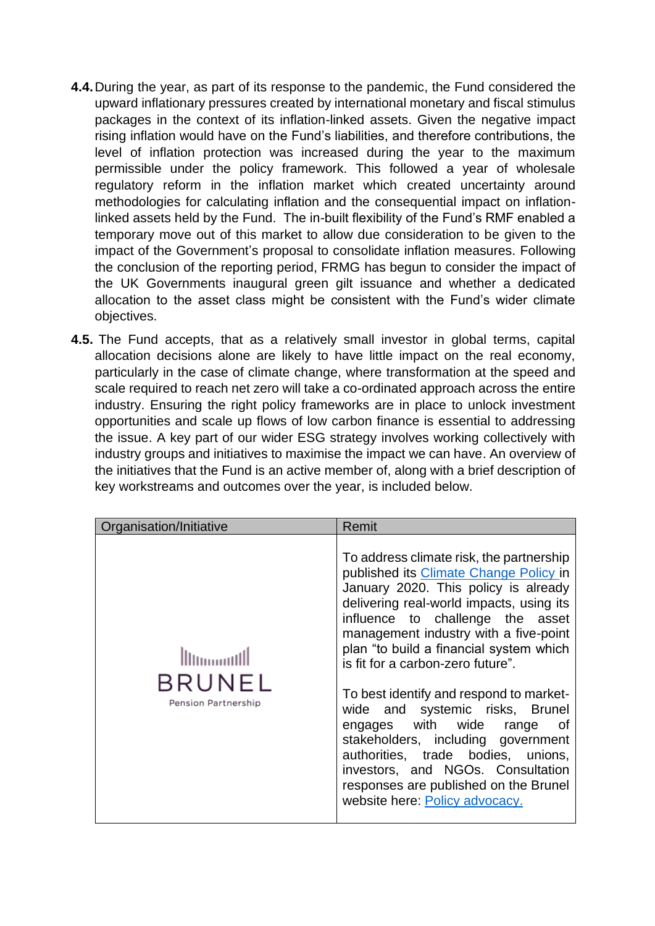- **4.4.**During the year, as part of its response to the pandemic, the Fund considered the upward inflationary pressures created by international monetary and fiscal stimulus packages in the context of its inflation-linked assets. Given the negative impact rising inflation would have on the Fund's liabilities, and therefore contributions, the level of inflation protection was increased during the year to the maximum permissible under the policy framework. This followed a year of wholesale regulatory reform in the inflation market which created uncertainty around methodologies for calculating inflation and the consequential impact on inflationlinked assets held by the Fund. The in-built flexibility of the Fund's RMF enabled a temporary move out of this market to allow due consideration to be given to the impact of the Government's proposal to consolidate inflation measures. Following the conclusion of the reporting period, FRMG has begun to consider the impact of the UK Governments inaugural green gilt issuance and whether a dedicated allocation to the asset class might be consistent with the Fund's wider climate objectives.
- **4.5.** The Fund accepts, that as a relatively small investor in global terms, capital allocation decisions alone are likely to have little impact on the real economy, particularly in the case of climate change, where transformation at the speed and scale required to reach net zero will take a co-ordinated approach across the entire industry. Ensuring the right policy frameworks are in place to unlock investment opportunities and scale up flows of low carbon finance is essential to addressing the issue. A key part of our wider ESG strategy involves working collectively with industry groups and initiatives to maximise the impact we can have. An overview of the initiatives that the Fund is an active member of, along with a brief description of key workstreams and outcomes over the year, is included below.

| Organisation/Initiative       | Remit                                                                                                                                                                                                                                                                                                                                                                                                                                                                                                                                                                                                                                             |
|-------------------------------|---------------------------------------------------------------------------------------------------------------------------------------------------------------------------------------------------------------------------------------------------------------------------------------------------------------------------------------------------------------------------------------------------------------------------------------------------------------------------------------------------------------------------------------------------------------------------------------------------------------------------------------------------|
| BRUNEL<br>Pension Partnership | To address climate risk, the partnership<br>published its Climate Change Policy in<br>January 2020. This policy is already<br>delivering real-world impacts, using its<br>influence to challenge the asset<br>management industry with a five-point<br>plan "to build a financial system which<br>is fit for a carbon-zero future".<br>To best identify and respond to market-<br>wide and systemic risks, Brunel<br>engages with wide<br>0f<br>range<br>stakeholders, including government<br>authorities, trade bodies, unions,<br>investors, and NGOs. Consultation<br>responses are published on the Brunel<br>website here: Policy advocacy. |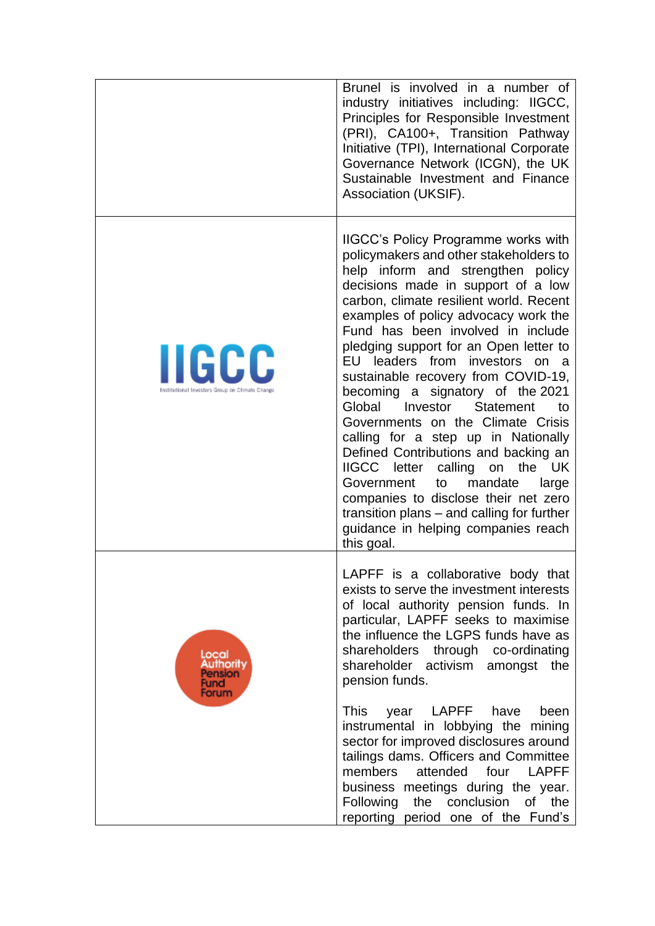|                                                                 | Brunel is involved in a number of<br>industry initiatives including: IIGCC,<br>Principles for Responsible Investment<br>(PRI), CA100+, Transition Pathway<br>Initiative (TPI), International Corporate<br>Governance Network (ICGN), the UK<br>Sustainable Investment and Finance<br>Association (UKSIF).                                                                                                                                                                                                                                                                                                                                                                                                                                                                                                                                             |
|-----------------------------------------------------------------|-------------------------------------------------------------------------------------------------------------------------------------------------------------------------------------------------------------------------------------------------------------------------------------------------------------------------------------------------------------------------------------------------------------------------------------------------------------------------------------------------------------------------------------------------------------------------------------------------------------------------------------------------------------------------------------------------------------------------------------------------------------------------------------------------------------------------------------------------------|
| <b>IIGCC</b><br>Institutional Investors Group on Climate Change | <b>IIGCC's Policy Programme works with</b><br>policymakers and other stakeholders to<br>help inform and strengthen policy<br>decisions made in support of a low<br>carbon, climate resilient world. Recent<br>examples of policy advocacy work the<br>Fund has been involved in include<br>pledging support for an Open letter to<br>EU leaders from investors<br>on<br>- a<br>sustainable recovery from COVID-19,<br>becoming a signatory of the 2021<br>Global<br>Investor<br><b>Statement</b><br>to<br>Governments on the Climate Crisis<br>calling for a step up in Nationally<br>Defined Contributions and backing an<br>IIGCC letter calling<br>the UK<br>on<br>Government<br>mandate<br>to<br>large<br>companies to disclose their net zero<br>transition plans – and calling for further<br>guidance in helping companies reach<br>this goal. |
| Local<br><b>uthority</b><br>nsion<br>-und<br>orum               | LAPFF is a collaborative body that<br>exists to serve the investment interests<br>of local authority pension funds. In<br>particular, LAPFF seeks to maximise<br>the influence the LGPS funds have as<br>shareholders through co-ordinating<br>shareholder activism<br>amongst the<br>pension funds.<br><b>This</b><br>LAPFF<br>have<br>been<br>year<br>instrumental in lobbying the mining<br>sector for improved disclosures around<br>tailings dams. Officers and Committee<br>members<br>attended<br>four<br><b>LAPFF</b><br>business meetings during the year.<br>Following<br>the conclusion of<br>the<br>reporting period one of the Fund's                                                                                                                                                                                                    |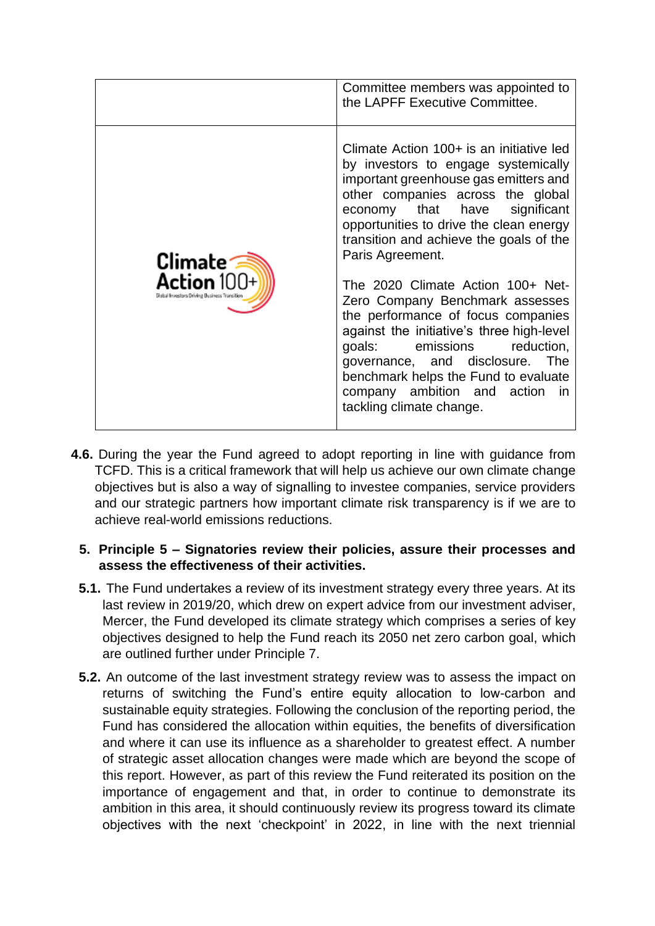

- **4.6.** During the year the Fund agreed to adopt reporting in line with guidance from TCFD. This is a critical framework that will help us achieve our own climate change objectives but is also a way of signalling to investee companies, service providers and our strategic partners how important climate risk transparency is if we are to achieve real-world emissions reductions.
	- **5. Principle 5 – Signatories review their policies, assure their processes and assess the effectiveness of their activities.**
	- **5.1.** The Fund undertakes a review of its investment strategy every three years. At its last review in 2019/20, which drew on expert advice from our investment adviser, Mercer, the Fund developed its climate strategy which comprises a series of key objectives designed to help the Fund reach its 2050 net zero carbon goal, which are outlined further under Principle 7.
	- **5.2.** An outcome of the last investment strategy review was to assess the impact on returns of switching the Fund's entire equity allocation to low-carbon and sustainable equity strategies. Following the conclusion of the reporting period, the Fund has considered the allocation within equities, the benefits of diversification and where it can use its influence as a shareholder to greatest effect. A number of strategic asset allocation changes were made which are beyond the scope of this report. However, as part of this review the Fund reiterated its position on the importance of engagement and that, in order to continue to demonstrate its ambition in this area, it should continuously review its progress toward its climate objectives with the next 'checkpoint' in 2022, in line with the next triennial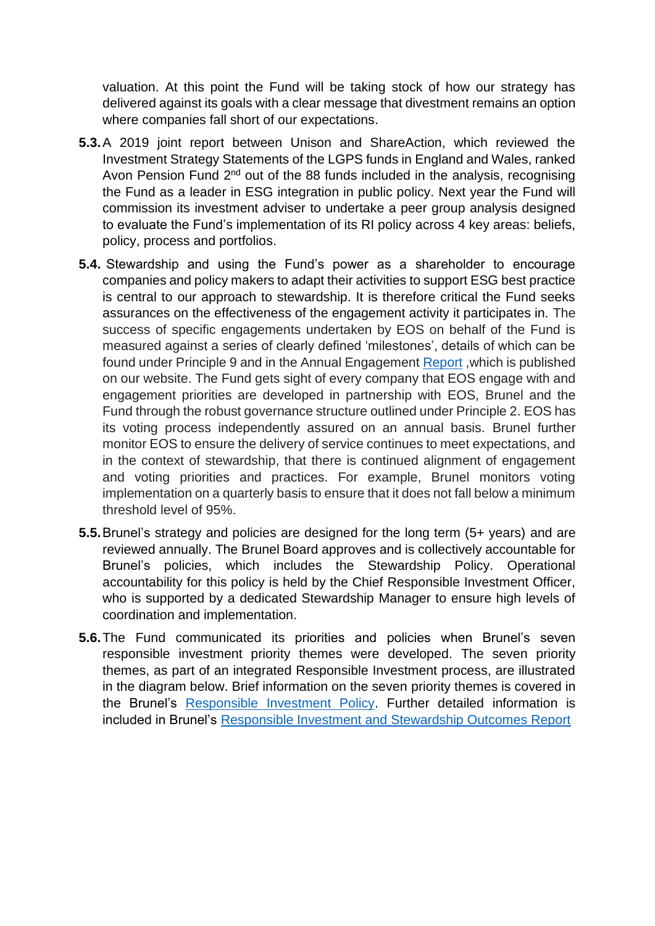valuation. At this point the Fund will be taking stock of how our strategy has delivered against its goals with a clear message that divestment remains an option where companies fall short of our expectations.

- **5.3.**A 2019 joint report between Unison and ShareAction, which reviewed the Investment Strategy Statements of the LGPS funds in England and Wales, ranked Avon Pension Fund 2<sup>nd</sup> out of the 88 funds included in the analysis, recognising the Fund as a leader in ESG integration in public policy. Next year the Fund will commission its investment adviser to undertake a peer group analysis designed to evaluate the Fund's implementation of its RI policy across 4 key areas: beliefs, policy, process and portfolios.
- **5.4.** Stewardship and using the Fund's power as a shareholder to encourage companies and policy makers to adapt their activities to support ESG best practice is central to our approach to stewardship. It is therefore critical the Fund seeks assurances on the effectiveness of the engagement activity it participates in. The success of specific engagements undertaken by EOS on behalf of the Fund is measured against a series of clearly defined 'milestones', details of which can be found under Principle 9 and in the Annual Engagement [Report](https://www.avonpensionfund.org.uk/engagement-highlights-2020) ,which is published on our website. The Fund gets sight of every company that EOS engage with and engagement priorities are developed in partnership with EOS, Brunel and the Fund through the robust governance structure outlined under Principle 2. EOS has its voting process independently assured on an annual basis. Brunel further monitor EOS to ensure the delivery of service continues to meet expectations, and in the context of stewardship, that there is continued alignment of engagement and voting priorities and practices. For example, Brunel monitors voting implementation on a quarterly basis to ensure that it does not fall below a minimum threshold level of 95%.
- **5.5.**Brunel's strategy and policies are designed for the long term (5+ years) and are reviewed annually. The Brunel Board approves and is collectively accountable for Brunel's policies, which includes the Stewardship Policy. Operational accountability for this policy is held by the Chief Responsible Investment Officer, who is supported by a dedicated Stewardship Manager to ensure high levels of coordination and implementation.
- **5.6.**The Fund communicated its priorities and policies when Brunel's seven responsible investment priority themes were developed. The seven priority themes, as part of an integrated Responsible Investment process, are illustrated in the diagram below. Brief information on the seven priority themes is covered in the Brunel's [Responsible Investment Policy.](https://www.brunelpensionpartnership.org/wp-content/uploads/2020/08/Brunel-RI-Policy-2020.pdf) Further detailed information is included in Brunel's [Responsible Investment and Stewardship Outcomes Report](https://www.brunelpensionpartnership.org/wp-content/uploads/2020/06/Brunel-2020-Responsible-Investment-and-Stewardship-Outcomes-Report.pdf)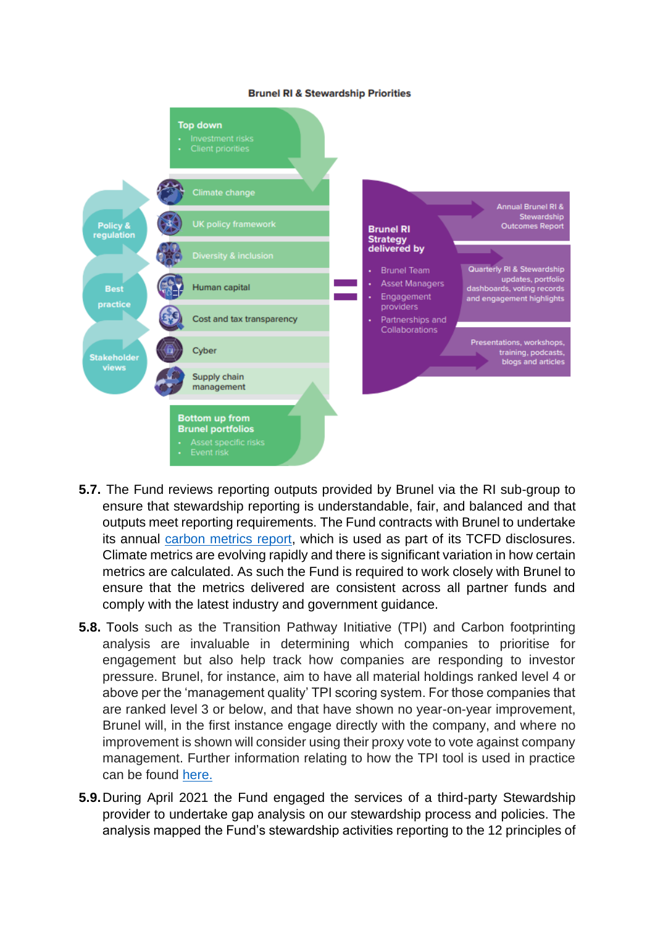#### **Brunel RI & Stewardship Priorities**



- **5.7.** The Fund reviews reporting outputs provided by Brunel via the RI sub-group to ensure that stewardship reporting is understandable, fair, and balanced and that outputs meet reporting requirements. The Fund contracts with Brunel to undertake its annual [carbon metrics report,](https://www.avonpensionfund.org.uk/sites/default/files/Avon%202021%20Carbon%20Metrics%20Report_FINAL%20%28New%20cover%29.pdf) which is used as part of its TCFD disclosures. Climate metrics are evolving rapidly and there is significant variation in how certain metrics are calculated. As such the Fund is required to work closely with Brunel to ensure that the metrics delivered are consistent across all partner funds and comply with the latest industry and government guidance.
- **5.8.** Tools such as the Transition Pathway Initiative (TPI) and Carbon footprinting analysis are invaluable in determining which companies to prioritise for engagement but also help track how companies are responding to investor pressure. Brunel, for instance, aim to have all material holdings ranked level 4 or above per the 'management quality' TPI scoring system. For those companies that are ranked level 3 or below, and that have shown no year-on-year improvement, Brunel will, in the first instance engage directly with the company, and where no improvement is shown will consider using their proxy vote to vote against company management. Further information relating to how the TPI tool is used in practice can be found [here.](https://www.brunelpensionpartnership.org/wp-content/uploads/2021/05/Brunel-Outcomes-Report-2021.pdf)
- **5.9.**During April 2021 the Fund engaged the services of a third-party Stewardship provider to undertake gap analysis on our stewardship process and policies. The analysis mapped the Fund's stewardship activities reporting to the 12 principles of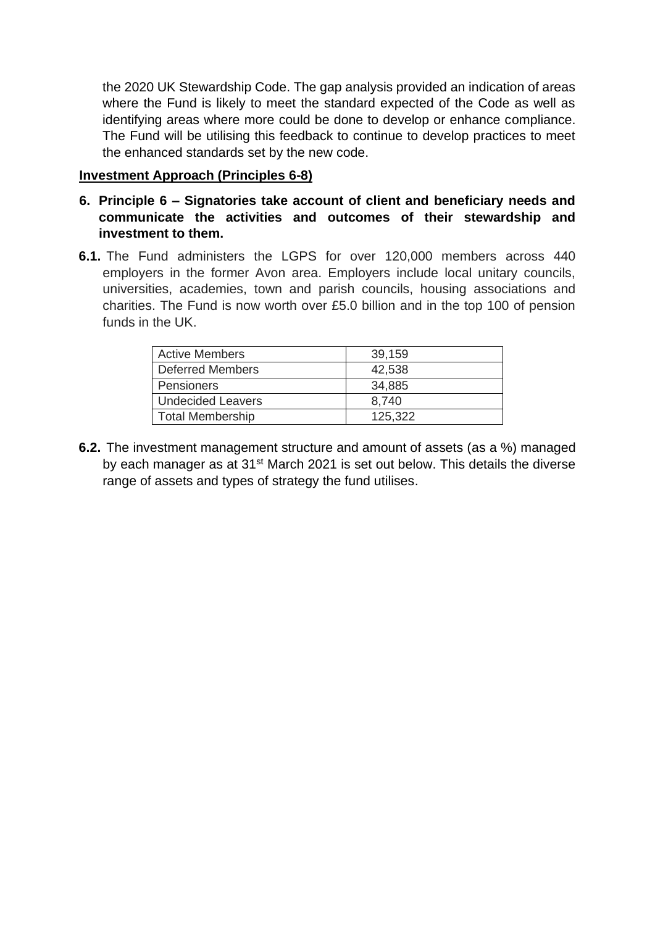the 2020 UK Stewardship Code. The gap analysis provided an indication of areas where the Fund is likely to meet the standard expected of the Code as well as identifying areas where more could be done to develop or enhance compliance. The Fund will be utilising this feedback to continue to develop practices to meet the enhanced standards set by the new code.

### **Investment Approach (Principles 6-8)**

- **6. Principle 6 – Signatories take account of client and beneficiary needs and communicate the activities and outcomes of their stewardship and investment to them.**
- **6.1.** The Fund administers the LGPS for over 120,000 members across 440 employers in the former Avon area. Employers include local unitary councils, universities, academies, town and parish councils, housing associations and charities. The Fund is now worth over £5.0 billion and in the top 100 of pension funds in the UK.

| <b>Active Members</b>    | 39,159  |
|--------------------------|---------|
| <b>Deferred Members</b>  | 42,538  |
| Pensioners               | 34,885  |
| <b>Undecided Leavers</b> | 8.740   |
| <b>Total Membership</b>  | 125,322 |

**6.2.** The investment management structure and amount of assets (as a %) managed by each manager as at 31<sup>st</sup> March 2021 is set out below. This details the diverse range of assets and types of strategy the fund utilises.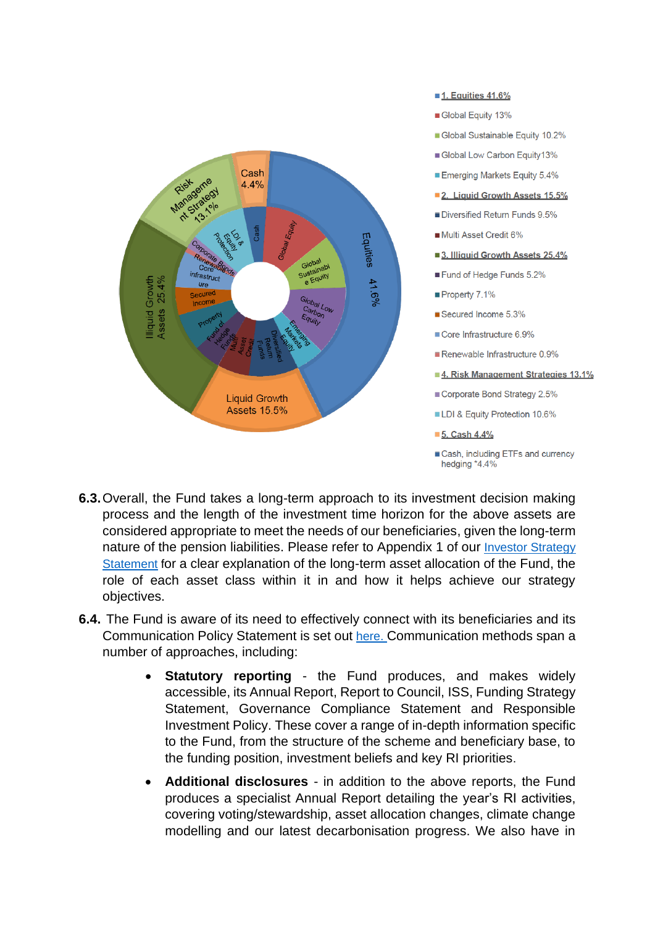

#### 1. Equities 41.6%

- Global Equity 13%
- Global Sustainable Equity 10.2%
- Global Low Carbon Equity13%
- Emerging Markets Equity 5.4%
- 2. Liquid Growth Assets 15.5%
- Diversified Return Funds 9.5%
- Multi Asset Credit 6%
- 3. Illiquid Growth Assets 25.4%
- Fund of Hedge Funds 5.2%
- Property 7.1%
- Secured Income 5.3%
- Core Infrastructure 6.9%
- Renewable Infrastructure 0.9%
- 4. Risk Management Strategies 13.1%
- Corporate Bond Strategy 2.5%
- LDI & Equity Protection 10.6%
- 5. Cash 4.4%
- Cash, including ETFs and currency hedging \*4.4%
- **6.3.**Overall, the Fund takes a long-term approach to its investment decision making process and the length of the investment time horizon for the above assets are considered appropriate to meet the needs of our beneficiaries, given the long-term nature of the pension liabilities. Please refer to Appendix 1 of our Investor Strategy [Statement](https://www.avonpensionfund.org.uk/sites/default/files/ISS-20200925.pdf) for a clear explanation of the long-term asset allocation of the Fund, the role of each asset class within it in and how it helps achieve our strategy objectives.
- **6.4.** The Fund is aware of its need to effectively connect with its beneficiaries and its Communication Policy Statement is set out [here.](https://www.avonpensionfund.org.uk/sites/default/files/Communications-Policy-Statement-20191119.pdf) Communication methods span a number of approaches, including:
	- **Statutory reporting -** the Fund produces, and makes widely accessible, its Annual Report, Report to Council, ISS, Funding Strategy Statement, Governance Compliance Statement and Responsible Investment Policy. These cover a range of in-depth information specific to the Fund, from the structure of the scheme and beneficiary base, to the funding position, investment beliefs and key RI priorities.
	- **Additional disclosures** in addition to the above reports, the Fund produces a specialist Annual Report detailing the year's RI activities, covering voting/stewardship, asset allocation changes, climate change modelling and our latest decarbonisation progress. We also have in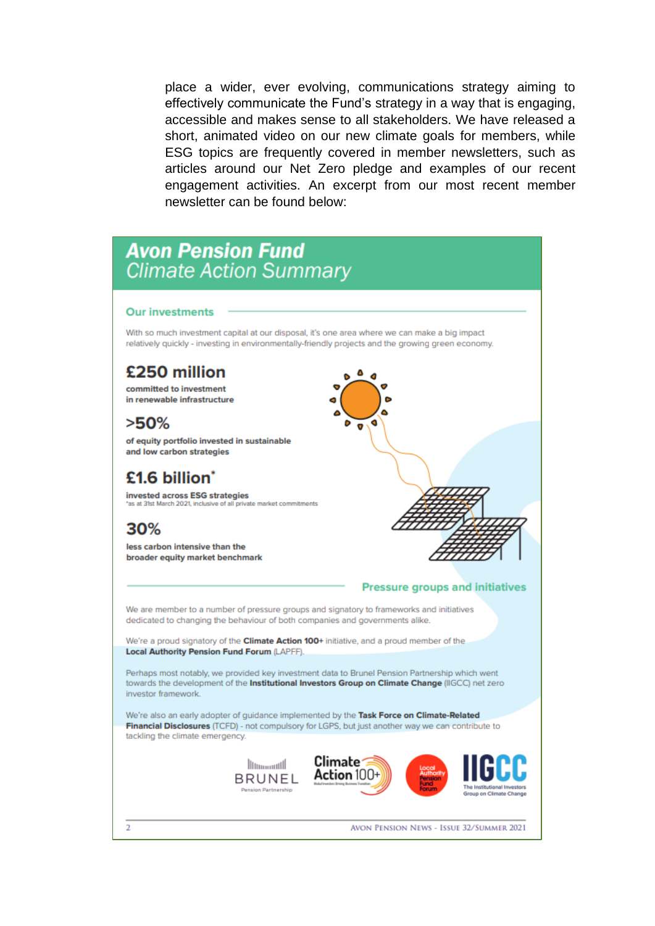place a wider, ever evolving, communications strategy aiming to effectively communicate the Fund's strategy in a way that is engaging, accessible and makes sense to all stakeholders. We have released a short, animated video on our new climate goals for members, while ESG topics are frequently covered in member newsletters, such as articles around our Net Zero pledge and examples of our recent engagement activities. An excerpt from our most recent member newsletter can be found below:

# **Avon Pension Fund Climate Action Summary**

#### **Our investments**

With so much investment capital at our disposal, it's one area where we can make a big impact relatively quickly - investing in environmentally-friendly projects and the growing green economy.

## £250 million

committed to investment in renewable infrastructure

 $>50\%$ 

of equity portfolio invested in sustainable and low carbon strategies

## £1.6 billion<sup>\*</sup>

invested across ESG strategies s at 31st March 2021 inclusive of all private market commitments

## 30%

less carbon intensive than the broader equity market benchmark



We are member to a number of pressure groups and signatory to frameworks and initiatives dedicated to changing the behaviour of both companies and governments alike.

We're a proud signatory of the Climate Action 100+ initiative, and a proud member of the Local Authority Pension Fund Forum (LAPFF).

Perhaps most notably, we provided key investment data to Brunel Pension Partnership which went towards the development of the Institutional Investors Group on Climate Change (IIGCC) net zero investor framework.

We're also an early adopter of guidance implemented by the Task Force on Climate-Related Financial Disclosures (TCFD) - not compulsory for LGPS, but just another way we can contribute to tackling the climate emergency.

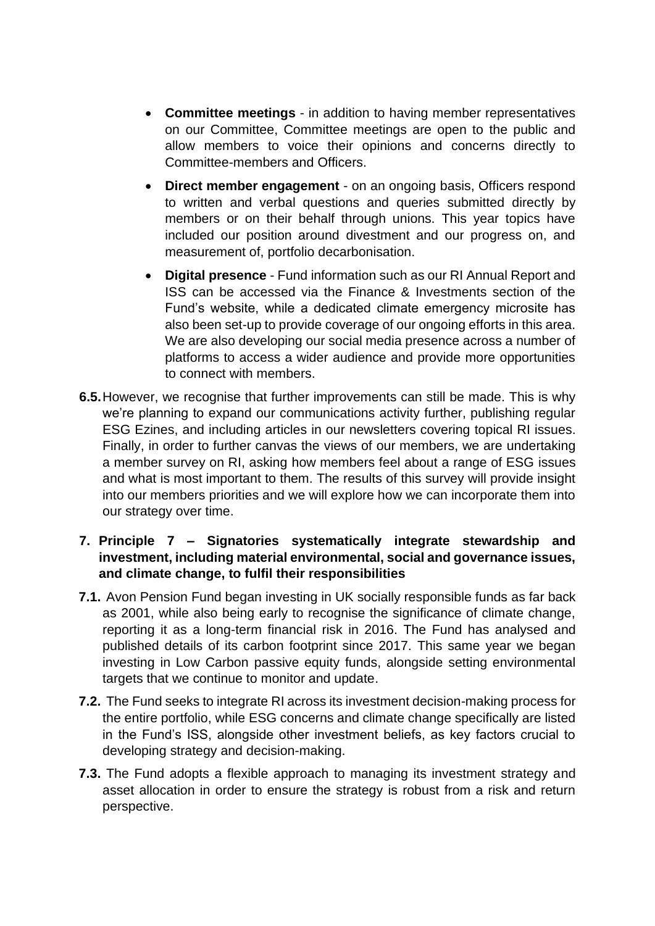- **Committee meetings** in addition to having member representatives on our Committee, Committee meetings are open to the public and allow members to voice their opinions and concerns directly to Committee-members and Officers.
- **Direct member engagement** on an ongoing basis, Officers respond to written and verbal questions and queries submitted directly by members or on their behalf through unions. This year topics have included our position around divestment and our progress on, and measurement of, portfolio decarbonisation.
- **Digital presence** Fund information such as our RI Annual Report and ISS can be accessed via the Finance & Investments section of the Fund's website, while a dedicated climate emergency microsite has also been set-up to provide coverage of our ongoing efforts in this area. We are also developing our social media presence across a number of platforms to access a wider audience and provide more opportunities to connect with members.
- **6.5.**However, we recognise that further improvements can still be made. This is why we're planning to expand our communications activity further, publishing regular ESG Ezines, and including articles in our newsletters covering topical RI issues. Finally, in order to further canvas the views of our members, we are undertaking a member survey on RI, asking how members feel about a range of ESG issues and what is most important to them. The results of this survey will provide insight into our members priorities and we will explore how we can incorporate them into our strategy over time.

## **7. Principle 7 – Signatories systematically integrate stewardship and investment, including material environmental, social and governance issues, and climate change, to fulfil their responsibilities**

- **7.1.** Avon Pension Fund began investing in UK socially responsible funds as far back as 2001, while also being early to recognise the significance of climate change, reporting it as a long-term financial risk in 2016. The Fund has analysed and published details of its carbon footprint since 2017. This same year we began investing in Low Carbon passive equity funds, alongside setting environmental targets that we continue to monitor and update.
- **7.2.** The Fund seeks to integrate RI across its investment decision-making process for the entire portfolio, while ESG concerns and climate change specifically are listed in the Fund's ISS, alongside other investment beliefs, as key factors crucial to developing strategy and decision-making.
- **7.3.** The Fund adopts a flexible approach to managing its investment strategy and asset allocation in order to ensure the strategy is robust from a risk and return perspective.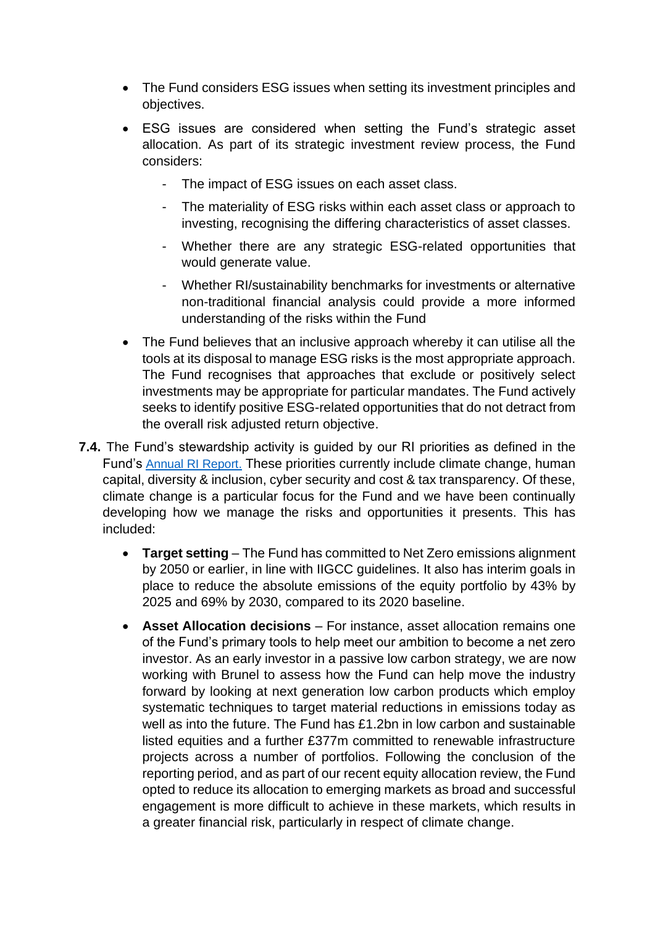- The Fund considers ESG issues when setting its investment principles and objectives.
- ESG issues are considered when setting the Fund's strategic asset allocation. As part of its strategic investment review process, the Fund considers:
	- The impact of ESG issues on each asset class.
	- The materiality of ESG risks within each asset class or approach to investing, recognising the differing characteristics of asset classes.
	- Whether there are any strategic ESG-related opportunities that would generate value.
	- Whether RI/sustainability benchmarks for investments or alternative non-traditional financial analysis could provide a more informed understanding of the risks within the Fund
- The Fund believes that an inclusive approach whereby it can utilise all the tools at its disposal to manage ESG risks is the most appropriate approach. The Fund recognises that approaches that exclude or positively select investments may be appropriate for particular mandates. The Fund actively seeks to identify positive ESG-related opportunities that do not detract from the overall risk adjusted return objective.
- **7.4.** The Fund's stewardship activity is guided by our RI priorities as defined in the Fund's [Annual RI Report.](https://www.avonpensionfund.org.uk/sites/default/files/Responsible-Investing-Annual-Report-201920.pdf) These priorities currently include climate change, human capital, diversity & inclusion, cyber security and cost & tax transparency. Of these, climate change is a particular focus for the Fund and we have been continually developing how we manage the risks and opportunities it presents. This has included:
	- **Target setting** The Fund has committed to Net Zero emissions alignment by 2050 or earlier, in line with IIGCC guidelines. It also has interim goals in place to reduce the absolute emissions of the equity portfolio by 43% by 2025 and 69% by 2030, compared to its 2020 baseline.
	- **Asset Allocation decisions** For instance, asset allocation remains one of the Fund's primary tools to help meet our ambition to become a net zero investor. As an early investor in a passive low carbon strategy, we are now working with Brunel to assess how the Fund can help move the industry forward by looking at next generation low carbon products which employ systematic techniques to target material reductions in emissions today as well as into the future. The Fund has £1.2bn in low carbon and sustainable listed equities and a further £377m committed to renewable infrastructure projects across a number of portfolios. Following the conclusion of the reporting period, and as part of our recent equity allocation review, the Fund opted to reduce its allocation to emerging markets as broad and successful engagement is more difficult to achieve in these markets, which results in a greater financial risk, particularly in respect of climate change.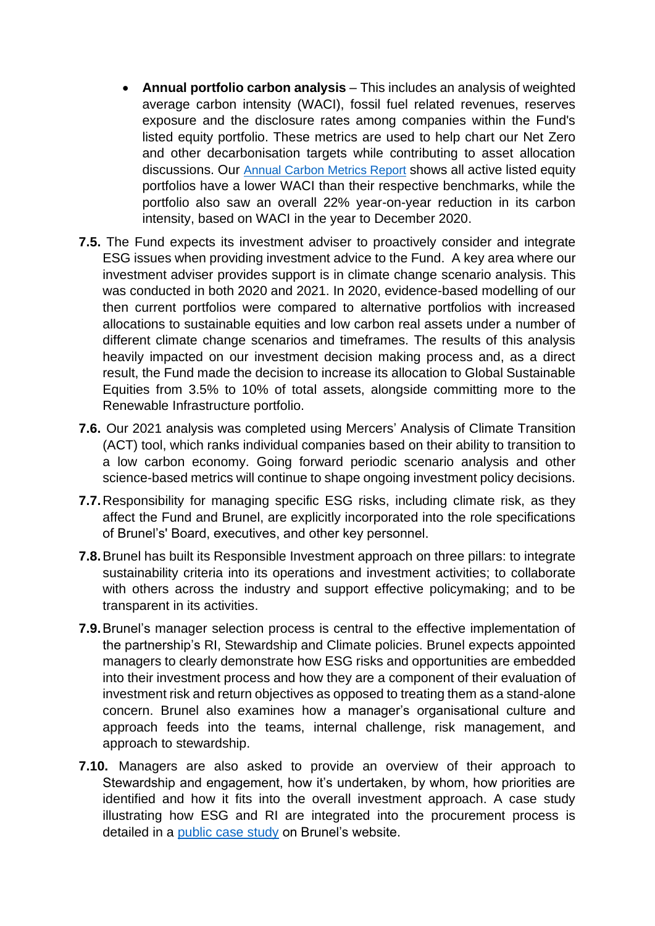- **Annual portfolio carbon analysis** This includes an analysis of weighted average carbon intensity (WACI), fossil fuel related revenues, reserves exposure and the disclosure rates among companies within the Fund's listed equity portfolio. These metrics are used to help chart our Net Zero and other decarbonisation targets while contributing to asset allocation discussions. Our [Annual Carbon Metrics Report](https://www.avonpensionfund.org.uk/sites/default/files/Avon%202021%20Carbon%20Metrics%20Report_FINAL%20%28New%20cover%29.pdf) shows all active listed equity portfolios have a lower WACI than their respective benchmarks, while the portfolio also saw an overall 22% year-on-year reduction in its carbon intensity, based on WACI in the year to December 2020.
- **7.5.** The Fund expects its investment adviser to proactively consider and integrate ESG issues when providing investment advice to the Fund. A key area where our investment adviser provides support is in climate change scenario analysis. This was conducted in both 2020 and 2021. In 2020, evidence-based modelling of our then current portfolios were compared to alternative portfolios with increased allocations to sustainable equities and low carbon real assets under a number of different climate change scenarios and timeframes. The results of this analysis heavily impacted on our investment decision making process and, as a direct result, the Fund made the decision to increase its allocation to Global Sustainable Equities from 3.5% to 10% of total assets, alongside committing more to the Renewable Infrastructure portfolio.
- **7.6.** Our 2021 analysis was completed using Mercers' Analysis of Climate Transition (ACT) tool, which ranks individual companies based on their ability to transition to a low carbon economy. Going forward periodic scenario analysis and other science-based metrics will continue to shape ongoing investment policy decisions.
- **7.7.** Responsibility for managing specific ESG risks, including climate risk, as they affect the Fund and Brunel, are explicitly incorporated into the role specifications of Brunel's' Board, executives, and other key personnel.
- **7.8.**Brunel has built its Responsible Investment approach on three pillars: to integrate sustainability criteria into its operations and investment activities; to collaborate with others across the industry and support effective policymaking; and to be transparent in its activities.
- **7.9.**Brunel's manager selection process is central to the effective implementation of the partnership's RI, Stewardship and Climate policies. Brunel expects appointed managers to clearly demonstrate how ESG risks and opportunities are embedded into their investment process and how they are a component of their evaluation of investment risk and return objectives as opposed to treating them as a stand-alone concern. Brunel also examines how a manager's organisational culture and approach feeds into the teams, internal challenge, risk management, and approach to stewardship.
- **7.10.** Managers are also asked to provide an overview of their approach to Stewardship and engagement, how it's undertaken, by whom, how priorities are identified and how it fits into the overall investment approach. A case study illustrating how ESG and RI are integrated into the procurement process is detailed in a [public case study](https://www.brunelpensionpartnership.org/2021/08/20/brunel-and-the-exceptional-asset-manager-search-case-study/) on Brunel's website.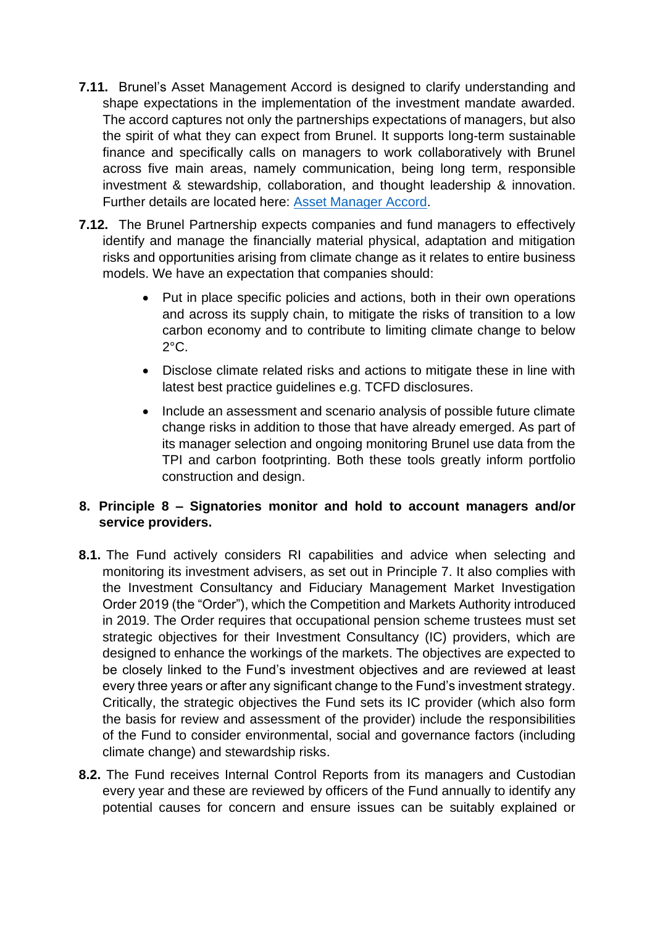- **7.11.** Brunel's Asset Management Accord is designed to clarify understanding and shape expectations in the implementation of the investment mandate awarded. The accord captures not only the partnerships expectations of managers, but also the spirit of what they can expect from Brunel. It supports long-term sustainable finance and specifically calls on managers to work collaboratively with Brunel across five main areas, namely communication, being long term, responsible investment & stewardship, collaboration, and thought leadership & innovation. Further details are located here: [Asset Manager Accord.](https://www.brunelpensionpartnership.org/wp-content/uploads/2018/11/Brunel-Asset-Management-Accord-2018.pdf)
- **7.12.** The Brunel Partnership expects companies and fund managers to effectively identify and manage the financially material physical, adaptation and mitigation risks and opportunities arising from climate change as it relates to entire business models. We have an expectation that companies should:
	- Put in place specific policies and actions, both in their own operations and across its supply chain, to mitigate the risks of transition to a low carbon economy and to contribute to limiting climate change to below  $2^{\circ}$ C.
	- Disclose climate related risks and actions to mitigate these in line with latest best practice guidelines e.g. TCFD disclosures.
	- Include an assessment and scenario analysis of possible future climate change risks in addition to those that have already emerged. As part of its manager selection and ongoing monitoring Brunel use data from the TPI and carbon footprinting. Both these tools greatly inform portfolio construction and design.

## **8. Principle 8 – Signatories monitor and hold to account managers and/or service providers.**

- **8.1.** The Fund actively considers RI capabilities and advice when selecting and monitoring its investment advisers, as set out in Principle 7. It also complies with the Investment Consultancy and Fiduciary Management Market Investigation Order 2019 (the "Order"), which the Competition and Markets Authority introduced in 2019. The Order requires that occupational pension scheme trustees must set strategic objectives for their Investment Consultancy (IC) providers, which are designed to enhance the workings of the markets. The objectives are expected to be closely linked to the Fund's investment objectives and are reviewed at least every three years or after any significant change to the Fund's investment strategy. Critically, the strategic objectives the Fund sets its IC provider (which also form the basis for review and assessment of the provider) include the responsibilities of the Fund to consider environmental, social and governance factors (including climate change) and stewardship risks.
- **8.2.** The Fund receives Internal Control Reports from its managers and Custodian every year and these are reviewed by officers of the Fund annually to identify any potential causes for concern and ensure issues can be suitably explained or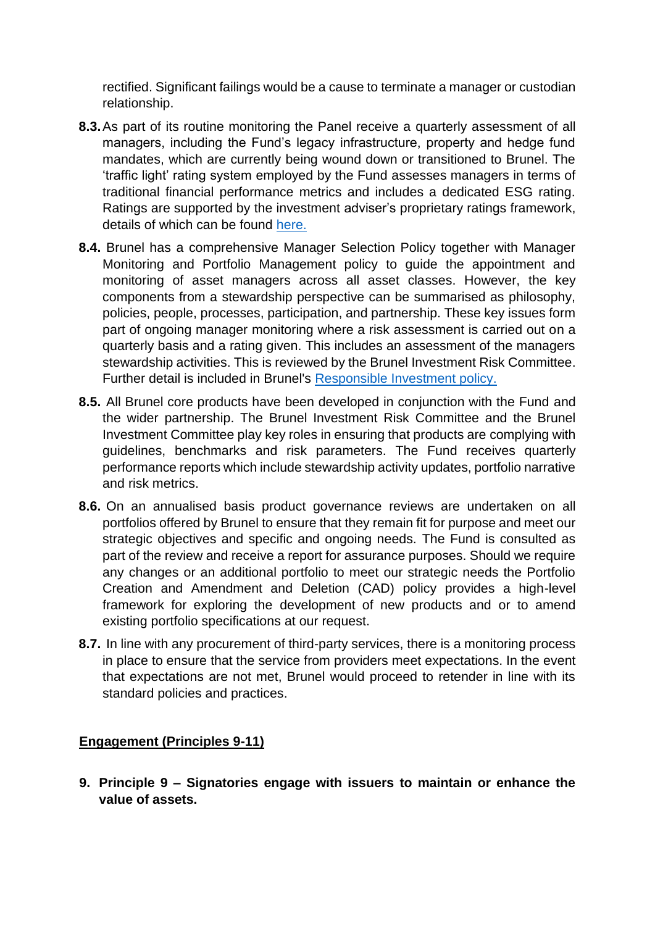rectified. Significant failings would be a cause to terminate a manager or custodian relationship.

- **8.3.**As part of its routine monitoring the Panel receive a quarterly assessment of all managers, including the Fund's legacy infrastructure, property and hedge fund mandates, which are currently being wound down or transitioned to Brunel. The 'traffic light' rating system employed by the Fund assesses managers in terms of traditional financial performance metrics and includes a dedicated ESG rating. Ratings are supported by the investment adviser's proprietary ratings framework, details of which can be found [here.](https://www.mercer.com/our-thinking/mercer-esg-ratings.html)
- **8.4.** Brunel has a comprehensive Manager Selection Policy together with Manager Monitoring and Portfolio Management policy to guide the appointment and monitoring of asset managers across all asset classes. However, the key components from a stewardship perspective can be summarised as philosophy, policies, people, processes, participation, and partnership. These key issues form part of ongoing manager monitoring where a risk assessment is carried out on a quarterly basis and a rating given. This includes an assessment of the managers stewardship activities. This is reviewed by the Brunel Investment Risk Committee. Further detail is included in Brunel's [Responsible Investment policy.](https://www.brunelpensionpartnership.org/wp-content/uploads/2020/08/Brunel-RI-Policy-2020.pdf)
- **8.5.** All Brunel core products have been developed in conjunction with the Fund and the wider partnership. The Brunel Investment Risk Committee and the Brunel Investment Committee play key roles in ensuring that products are complying with guidelines, benchmarks and risk parameters. The Fund receives quarterly performance reports which include stewardship activity updates, portfolio narrative and risk metrics.
- **8.6.** On an annualised basis product governance reviews are undertaken on all portfolios offered by Brunel to ensure that they remain fit for purpose and meet our strategic objectives and specific and ongoing needs. The Fund is consulted as part of the review and receive a report for assurance purposes. Should we require any changes or an additional portfolio to meet our strategic needs the Portfolio Creation and Amendment and Deletion (CAD) policy provides a high-level framework for exploring the development of new products and or to amend existing portfolio specifications at our request.
- **8.7.** In line with any procurement of third-party services, there is a monitoring process in place to ensure that the service from providers meet expectations. In the event that expectations are not met, Brunel would proceed to retender in line with its standard policies and practices.

## **Engagement (Principles 9-11)**

**9. Principle 9 – Signatories engage with issuers to maintain or enhance the value of assets.**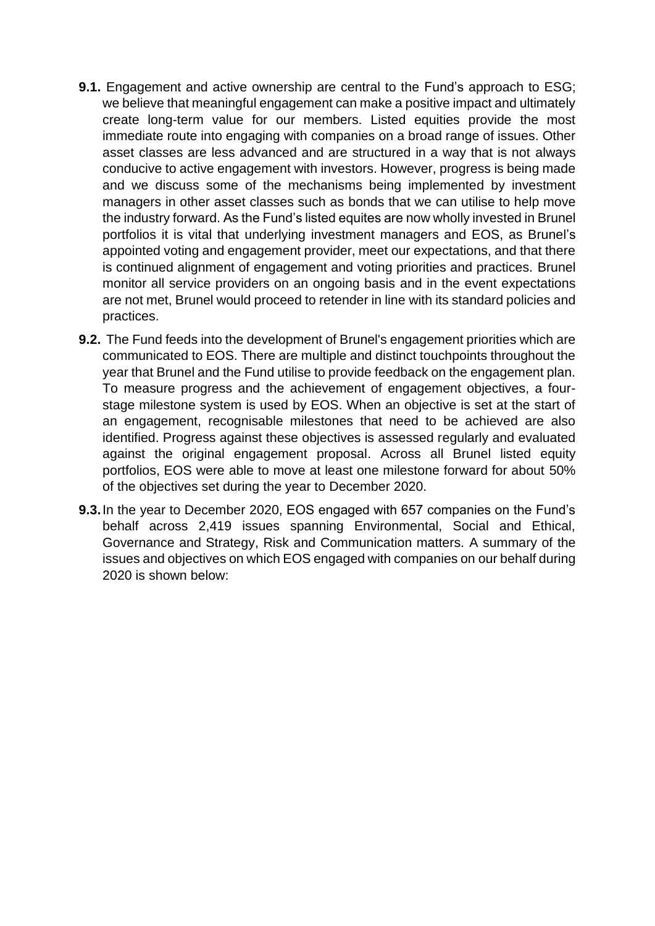- **9.1.** Engagement and active ownership are central to the Fund's approach to ESG; we believe that meaningful engagement can make a positive impact and ultimately create long-term value for our members. Listed equities provide the most immediate route into engaging with companies on a broad range of issues. Other asset classes are less advanced and are structured in a way that is not always conducive to active engagement with investors. However, progress is being made and we discuss some of the mechanisms being implemented by investment managers in other asset classes such as bonds that we can utilise to help move the industry forward. As the Fund's listed equites are now wholly invested in Brunel portfolios it is vital that underlying investment managers and EOS, as Brunel's appointed voting and engagement provider, meet our expectations, and that there is continued alignment of engagement and voting priorities and practices. Brunel monitor all service providers on an ongoing basis and in the event expectations are not met, Brunel would proceed to retender in line with its standard policies and practices.
- **9.2.** The Fund feeds into the development of Brunel's engagement priorities which are communicated to EOS. There are multiple and distinct touchpoints throughout the year that Brunel and the Fund utilise to provide feedback on the engagement plan. To measure progress and the achievement of engagement objectives, a fourstage milestone system is used by EOS. When an objective is set at the start of an engagement, recognisable milestones that need to be achieved are also identified. Progress against these objectives is assessed regularly and evaluated against the original engagement proposal. Across all Brunel listed equity portfolios, EOS were able to move at least one milestone forward for about 50% of the objectives set during the year to December 2020.
- **9.3.**In the year to December 2020, EOS engaged with 657 companies on the Fund's behalf across 2,419 issues spanning Environmental, Social and Ethical, Governance and Strategy, Risk and Communication matters. A summary of the issues and objectives on which EOS engaged with companies on our behalf during 2020 is shown below: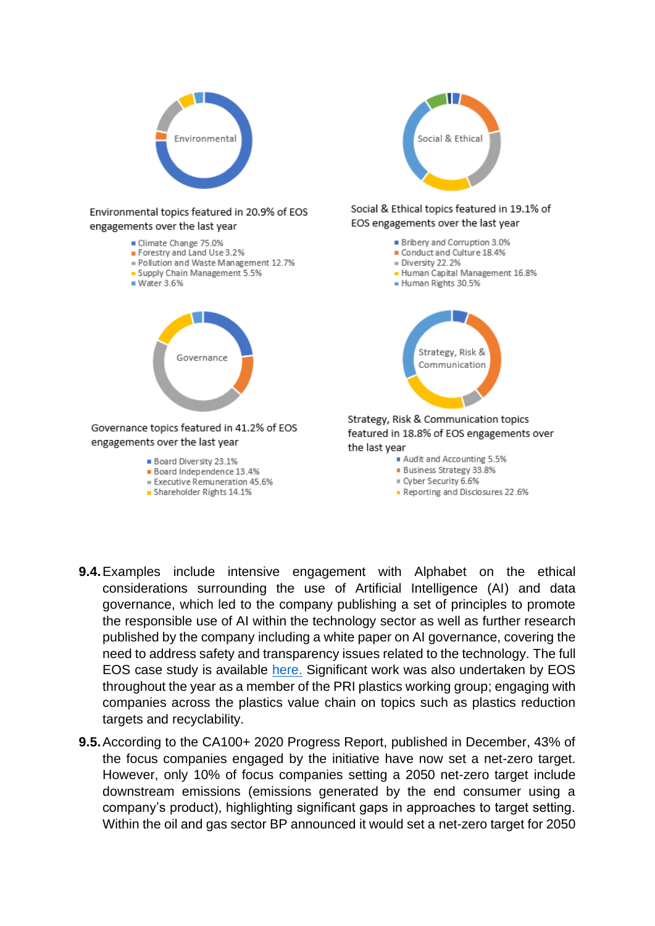

- **9.4.**Examples include intensive engagement with Alphabet on the ethical considerations surrounding the use of Artificial Intelligence (AI) and data governance, which led to the company publishing a set of principles to promote the responsible use of AI within the technology sector as well as further research published by the company including a white paper on AI governance, covering the need to address safety and transparency issues related to the technology. The full EOS case study is available [here.](https://www.hermes-investment.com/uki/eos-insight/eos/alphabet-case-study/) Significant work was also undertaken by EOS throughout the year as a member of the PRI plastics working group; engaging with companies across the plastics value chain on topics such as plastics reduction targets and recyclability.
- **9.5.**According to the CA100+ 2020 Progress Report, published in December, 43% of the focus companies engaged by the initiative have now set a net-zero target. However, only 10% of focus companies setting a 2050 net-zero target include downstream emissions (emissions generated by the end consumer using a company's product), highlighting significant gaps in approaches to target setting. Within the oil and gas sector BP announced it would set a net-zero target for 2050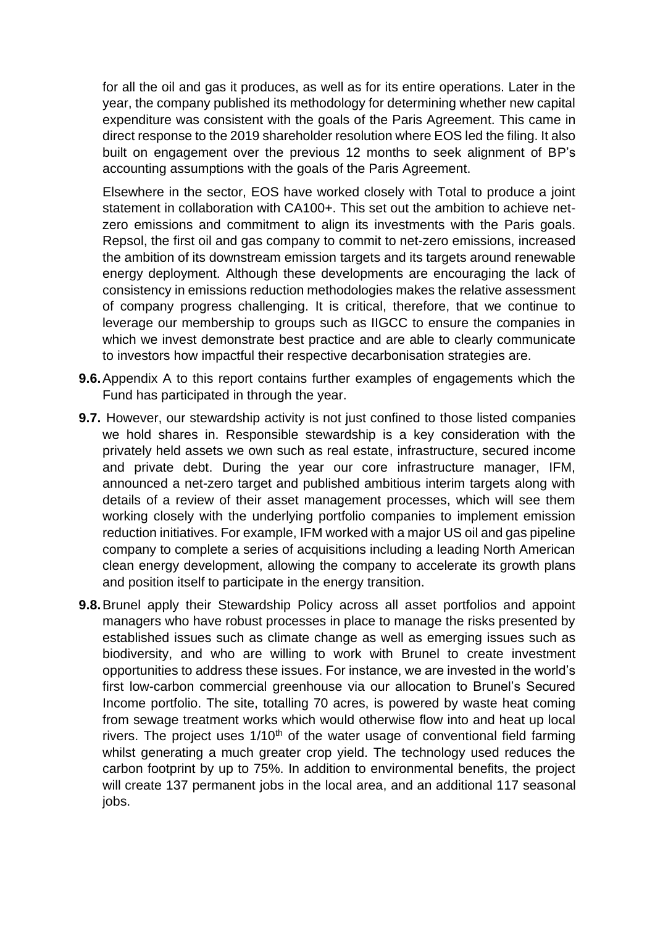for all the oil and gas it produces, as well as for its entire operations. Later in the year, the company published its methodology for determining whether new capital expenditure was consistent with the goals of the Paris Agreement. This came in direct response to the 2019 shareholder resolution where EOS led the filing. It also built on engagement over the previous 12 months to seek alignment of BP's accounting assumptions with the goals of the Paris Agreement.

Elsewhere in the sector, EOS have worked closely with Total to produce a joint statement in collaboration with CA100+. This set out the ambition to achieve netzero emissions and commitment to align its investments with the Paris goals. Repsol, the first oil and gas company to commit to net-zero emissions, increased the ambition of its downstream emission targets and its targets around renewable energy deployment. Although these developments are encouraging the lack of consistency in emissions reduction methodologies makes the relative assessment of company progress challenging. It is critical, therefore, that we continue to leverage our membership to groups such as IIGCC to ensure the companies in which we invest demonstrate best practice and are able to clearly communicate to investors how impactful their respective decarbonisation strategies are.

- **9.6.**Appendix A to this report contains further examples of engagements which the Fund has participated in through the year.
- **9.7.** However, our stewardship activity is not just confined to those listed companies we hold shares in. Responsible stewardship is a key consideration with the privately held assets we own such as real estate, infrastructure, secured income and private debt. During the year our core infrastructure manager, IFM, announced a net-zero target and published ambitious interim targets along with details of a review of their asset management processes, which will see them working closely with the underlying portfolio companies to implement emission reduction initiatives. For example, IFM worked with a major US oil and gas pipeline company to complete a series of acquisitions including a leading North American clean energy development, allowing the company to accelerate its growth plans and position itself to participate in the energy transition.
- **9.8.**Brunel apply their Stewardship Policy across all asset portfolios and appoint managers who have robust processes in place to manage the risks presented by established issues such as climate change as well as emerging issues such as biodiversity, and who are willing to work with Brunel to create investment opportunities to address these issues. For instance, we are invested in the world's first low-carbon commercial greenhouse via our allocation to Brunel's Secured Income portfolio. The site, totalling 70 acres, is powered by waste heat coming from sewage treatment works which would otherwise flow into and heat up local rivers. The project uses  $1/10<sup>th</sup>$  of the water usage of conventional field farming whilst generating a much greater crop yield. The technology used reduces the carbon footprint by up to 75%. In addition to environmental benefits, the project will create 137 permanent jobs in the local area, and an additional 117 seasonal jobs.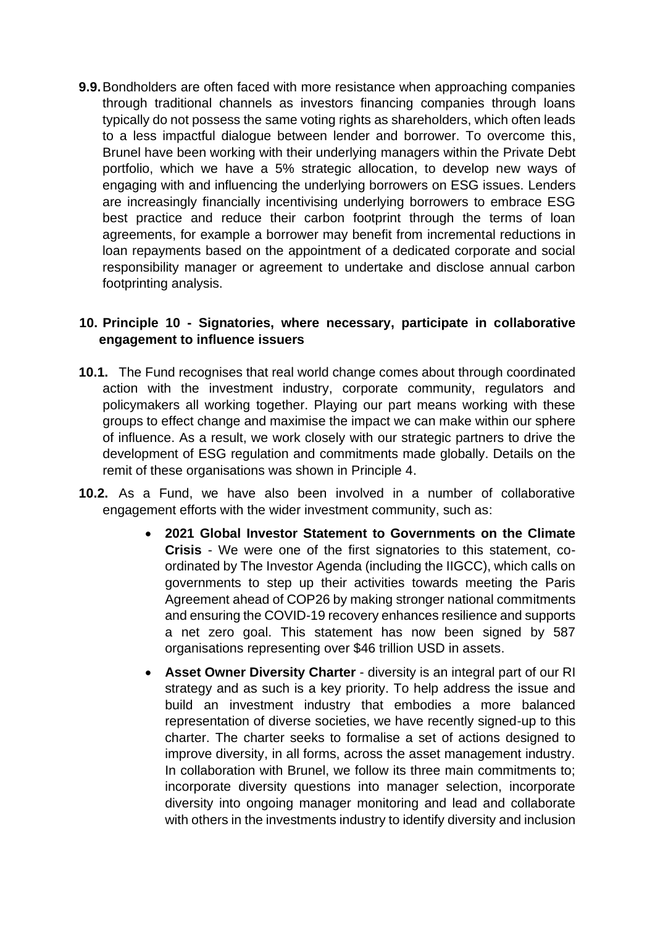**9.9.**Bondholders are often faced with more resistance when approaching companies through traditional channels as investors financing companies through loans typically do not possess the same voting rights as shareholders, which often leads to a less impactful dialogue between lender and borrower. To overcome this, Brunel have been working with their underlying managers within the Private Debt portfolio, which we have a 5% strategic allocation, to develop new ways of engaging with and influencing the underlying borrowers on ESG issues. Lenders are increasingly financially incentivising underlying borrowers to embrace ESG best practice and reduce their carbon footprint through the terms of loan agreements, for example a borrower may benefit from incremental reductions in loan repayments based on the appointment of a dedicated corporate and social responsibility manager or agreement to undertake and disclose annual carbon footprinting analysis.

### **10. Principle 10 - Signatories, where necessary, participate in collaborative engagement to influence issuers**

- **10.1.** The Fund recognises that real world change comes about through coordinated action with the investment industry, corporate community, regulators and policymakers all working together. Playing our part means working with these groups to effect change and maximise the impact we can make within our sphere of influence. As a result, we work closely with our strategic partners to drive the development of ESG regulation and commitments made globally. Details on the remit of these organisations was shown in Principle 4.
- **10.2.** As a Fund, we have also been involved in a number of collaborative engagement efforts with the wider investment community, such as:
	- **2021 Global Investor Statement to Governments on the Climate Crisis** - We were one of the first signatories to this statement, coordinated by The Investor Agenda (including the IIGCC), which calls on governments to step up their activities towards meeting the Paris Agreement ahead of COP26 by making stronger national commitments and ensuring the COVID-19 recovery enhances resilience and supports a net zero goal. This statement has now been signed by 587 organisations representing over \$46 trillion USD in assets.
	- **Asset Owner Diversity Charter** diversity is an integral part of our RI strategy and as such is a key priority. To help address the issue and build an investment industry that embodies a more balanced representation of diverse societies, we have recently signed-up to this charter. The charter seeks to formalise a set of actions designed to improve diversity, in all forms, across the asset management industry. In collaboration with Brunel, we follow its three main commitments to; incorporate diversity questions into manager selection, incorporate diversity into ongoing manager monitoring and lead and collaborate with others in the investments industry to identify diversity and inclusion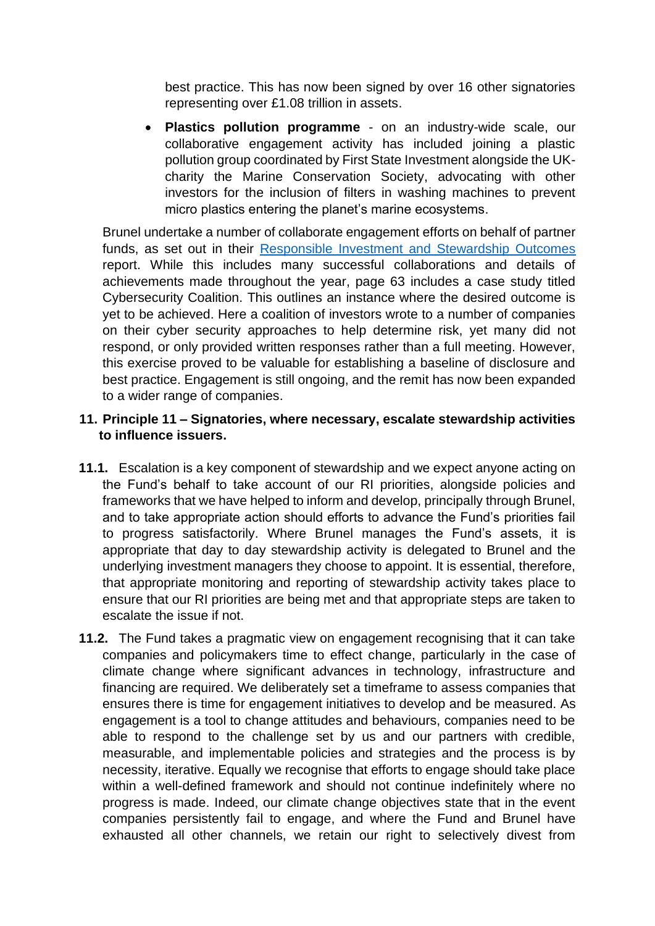best practice. This has now been signed by over 16 other signatories representing over £1.08 trillion in assets.

• **Plastics pollution programme** - on an industry-wide scale, our collaborative engagement activity has included joining a plastic pollution group coordinated by First State Investment alongside the UKcharity the Marine Conservation Society, advocating with other investors for the inclusion of filters in washing machines to prevent micro plastics entering the planet's marine ecosystems.

Brunel undertake a number of collaborate engagement efforts on behalf of partner funds, as set out in their [Responsible Investment and Stewardship Outcomes](https://www.brunelpensionpartnership.org/wp-content/uploads/2021/05/Brunel-Outcomes-Report-2021.pdf) report. While this includes many successful collaborations and details of achievements made throughout the year, page 63 includes a case study titled Cybersecurity Coalition. This outlines an instance where the desired outcome is yet to be achieved. Here a coalition of investors wrote to a number of companies on their cyber security approaches to help determine risk, yet many did not respond, or only provided written responses rather than a full meeting. However, this exercise proved to be valuable for establishing a baseline of disclosure and best practice. Engagement is still ongoing, and the remit has now been expanded to a wider range of companies.

## **11. Principle 11 – Signatories, where necessary, escalate stewardship activities to influence issuers.**

- **11.1.** Escalation is a key component of stewardship and we expect anyone acting on the Fund's behalf to take account of our RI priorities, alongside policies and frameworks that we have helped to inform and develop, principally through Brunel, and to take appropriate action should efforts to advance the Fund's priorities fail to progress satisfactorily. Where Brunel manages the Fund's assets, it is appropriate that day to day stewardship activity is delegated to Brunel and the underlying investment managers they choose to appoint. It is essential, therefore, that appropriate monitoring and reporting of stewardship activity takes place to ensure that our RI priorities are being met and that appropriate steps are taken to escalate the issue if not.
- **11.2.** The Fund takes a pragmatic view on engagement recognising that it can take companies and policymakers time to effect change, particularly in the case of climate change where significant advances in technology, infrastructure and financing are required. We deliberately set a timeframe to assess companies that ensures there is time for engagement initiatives to develop and be measured. As engagement is a tool to change attitudes and behaviours, companies need to be able to respond to the challenge set by us and our partners with credible, measurable, and implementable policies and strategies and the process is by necessity, iterative. Equally we recognise that efforts to engage should take place within a well-defined framework and should not continue indefinitely where no progress is made. Indeed, our climate change objectives state that in the event companies persistently fail to engage, and where the Fund and Brunel have exhausted all other channels, we retain our right to selectively divest from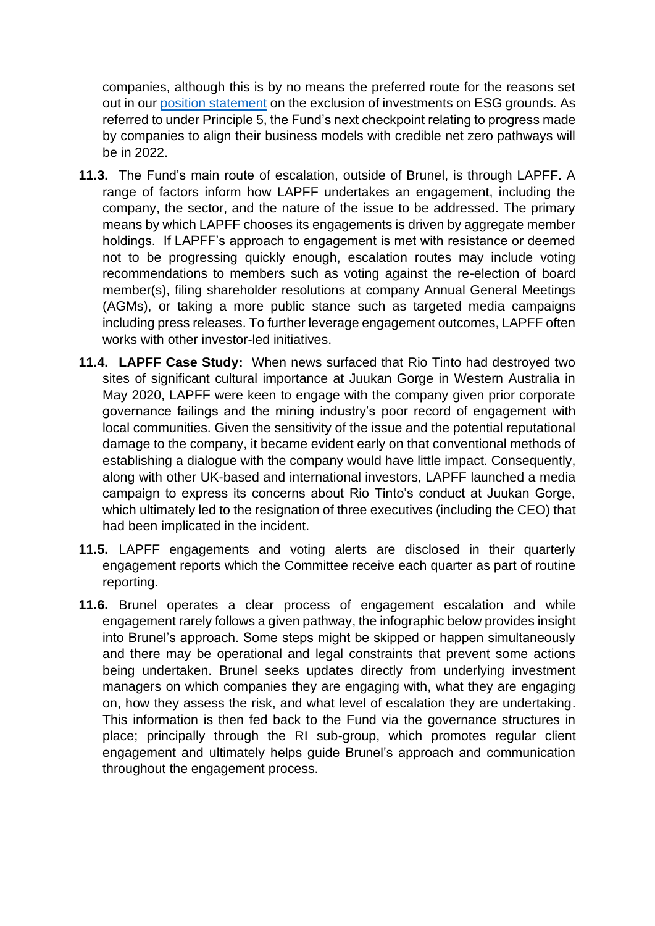companies, although this is by no means the preferred route for the reasons set out in our [position statement](https://www.avonpensionfund.org.uk/sites/default/files/Exclusion-of-Investments-on-Environmental-Social-and-Governance-20201030.pdf) on the exclusion of investments on ESG grounds. As referred to under Principle 5, the Fund's next checkpoint relating to progress made by companies to align their business models with credible net zero pathways will be in 2022.

- **11.3.** The Fund's main route of escalation, outside of Brunel, is through LAPFF. A range of factors inform how LAPFF undertakes an engagement, including the company, the sector, and the nature of the issue to be addressed. The primary means by which LAPFF chooses its engagements is driven by aggregate member holdings. If LAPFF's approach to engagement is met with resistance or deemed not to be progressing quickly enough, escalation routes may include voting recommendations to members such as voting against the re-election of board member(s), filing shareholder resolutions at company Annual General Meetings (AGMs), or taking a more public stance such as targeted media campaigns including press releases. To further leverage engagement outcomes, LAPFF often works with other investor-led initiatives.
- **11.4. LAPFF Case Study:** When news surfaced that Rio Tinto had destroyed two sites of significant cultural importance at Juukan Gorge in Western Australia in May 2020, LAPFF were keen to engage with the company given prior corporate governance failings and the mining industry's poor record of engagement with local communities. Given the sensitivity of the issue and the potential reputational damage to the company, it became evident early on that conventional methods of establishing a dialogue with the company would have little impact. Consequently, along with other UK-based and international investors, LAPFF launched a media campaign to express its concerns about Rio Tinto's conduct at Juukan Gorge, which ultimately led to the resignation of three executives (including the CEO) that had been implicated in the incident.
- **11.5.** LAPFF engagements and voting alerts are disclosed in their quarterly engagement reports which the Committee receive each quarter as part of routine reporting.
- **11.6.** Brunel operates a clear process of engagement escalation and while engagement rarely follows a given pathway, the infographic below provides insight into Brunel's approach. Some steps might be skipped or happen simultaneously and there may be operational and legal constraints that prevent some actions being undertaken. Brunel seeks updates directly from underlying investment managers on which companies they are engaging with, what they are engaging on, how they assess the risk, and what level of escalation they are undertaking. This information is then fed back to the Fund via the governance structures in place; principally through the RI sub-group, which promotes regular client engagement and ultimately helps guide Brunel's approach and communication throughout the engagement process.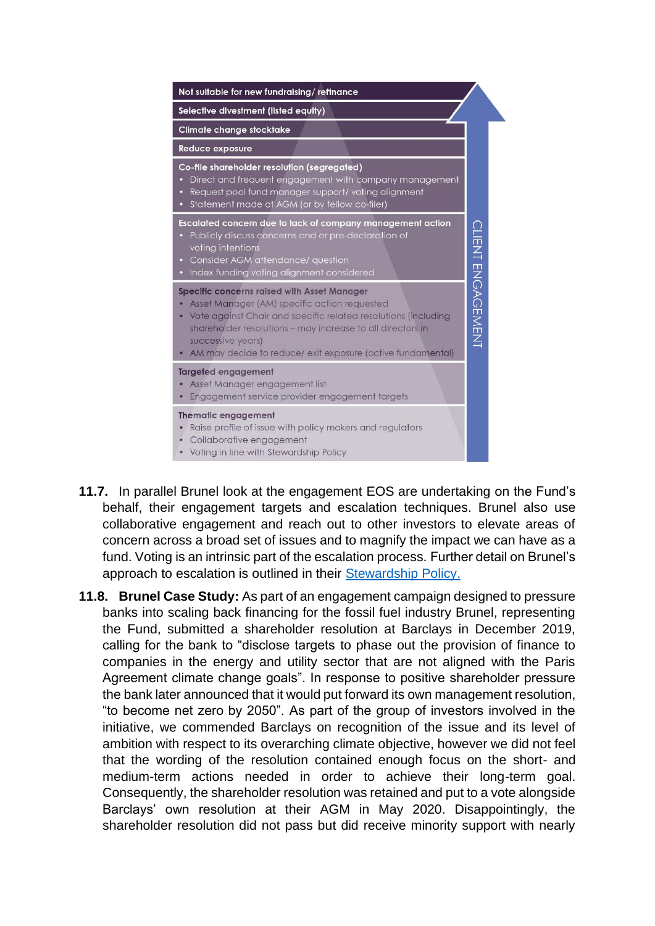

- **11.7.** In parallel Brunel look at the engagement EOS are undertaking on the Fund's behalf, their engagement targets and escalation techniques. Brunel also use collaborative engagement and reach out to other investors to elevate areas of concern across a broad set of issues and to magnify the impact we can have as a fund. Voting is an intrinsic part of the escalation process. Further detail on Brunel's approach to escalation is outlined in their [Stewardship Policy.](https://www.brunelpensionpartnership.org/wp-content/uploads/2021/02/2020-Stewardship-Policy-FINAL.pdf)
- **11.8. Brunel Case Study:** As part of an engagement campaign designed to pressure banks into scaling back financing for the fossil fuel industry Brunel, representing the Fund, submitted a shareholder resolution at Barclays in December 2019, calling for the bank to "disclose targets to phase out the provision of finance to companies in the energy and utility sector that are not aligned with the Paris Agreement climate change goals". In response to positive shareholder pressure the bank later announced that it would put forward its own management resolution, "to become net zero by 2050". As part of the group of investors involved in the initiative, we commended Barclays on recognition of the issue and its level of ambition with respect to its overarching climate objective, however we did not feel that the wording of the resolution contained enough focus on the short- and medium-term actions needed in order to achieve their long-term goal. Consequently, the shareholder resolution was retained and put to a vote alongside Barclays' own resolution at their AGM in May 2020. Disappointingly, the shareholder resolution did not pass but did receive minority support with nearly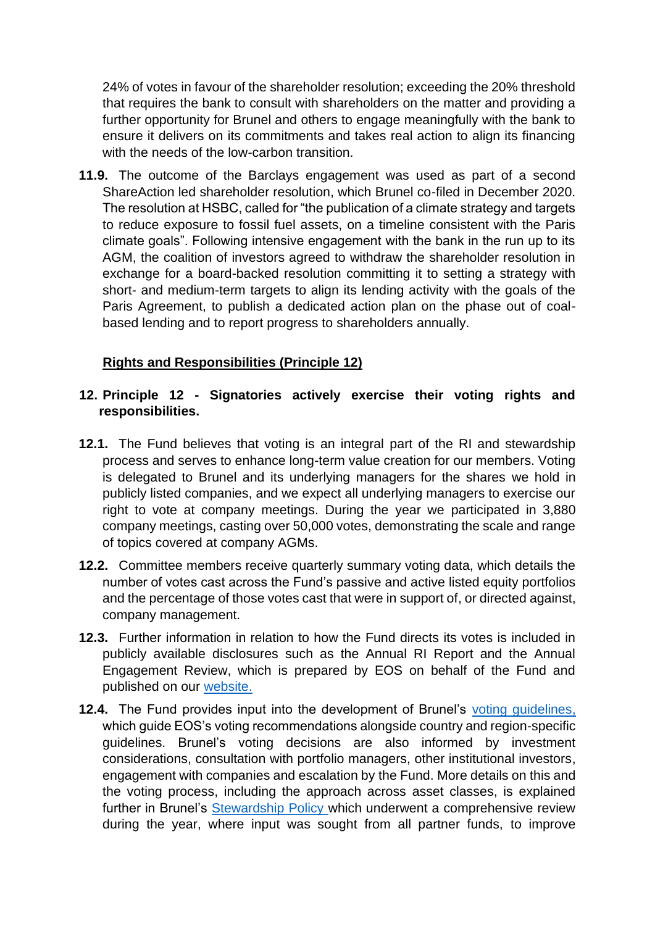24% of votes in favour of the shareholder resolution; exceeding the 20% threshold that requires the bank to consult with shareholders on the matter and providing a further opportunity for Brunel and others to engage meaningfully with the bank to ensure it delivers on its commitments and takes real action to align its financing with the needs of the low-carbon transition.

**11.9.** The outcome of the Barclays engagement was used as part of a second ShareAction led shareholder resolution, which Brunel co-filed in December 2020. The resolution at HSBC, called for "the publication of a climate strategy and targets to reduce exposure to fossil fuel assets, on a timeline consistent with the Paris climate goals". Following intensive engagement with the bank in the run up to its AGM, the coalition of investors agreed to withdraw the shareholder resolution in exchange for a board-backed resolution committing it to setting a strategy with short- and medium-term targets to align its lending activity with the goals of the Paris Agreement, to publish a dedicated action plan on the phase out of coalbased lending and to report progress to shareholders annually.

## **Rights and Responsibilities (Principle 12)**

## **12. Principle 12 - Signatories actively exercise their voting rights and responsibilities.**

- **12.1.** The Fund believes that voting is an integral part of the RI and stewardship process and serves to enhance long-term value creation for our members. Voting is delegated to Brunel and its underlying managers for the shares we hold in publicly listed companies, and we expect all underlying managers to exercise our right to vote at company meetings. During the year we participated in 3,880 company meetings, casting over 50,000 votes, demonstrating the scale and range of topics covered at company AGMs.
- **12.2.** Committee members receive quarterly summary voting data, which details the number of votes cast across the Fund's passive and active listed equity portfolios and the percentage of those votes cast that were in support of, or directed against, company management.
- **12.3.** Further information in relation to how the Fund directs its votes is included in publicly available disclosures such as the Annual RI Report and the Annual Engagement Review, which is prepared by EOS on behalf of the Fund and published on our [website.](https://www.avonpensionfund.org.uk/engagement-highlights-2020)
- **12.4.** The Fund provides input into the development of Brunel's [voting guidelines,](https://www.brunelpensionpartnership.org/wp-content/uploads/2021/02/voting_guidelines.pdf) which guide EOS's voting recommendations alongside country and region-specific guidelines. Brunel's voting decisions are also informed by investment considerations, consultation with portfolio managers, other institutional investors, engagement with companies and escalation by the Fund. More details on this and the voting process, including the approach across asset classes, is explained further in Brunel's **[Stewardship Policy](https://www.brunelpensionpartnership.org/wp-content/uploads/2021/02/2020-Stewardship-Policy-FINAL.pdf) which underwent a comprehensive review** during the year, where input was sought from all partner funds, to improve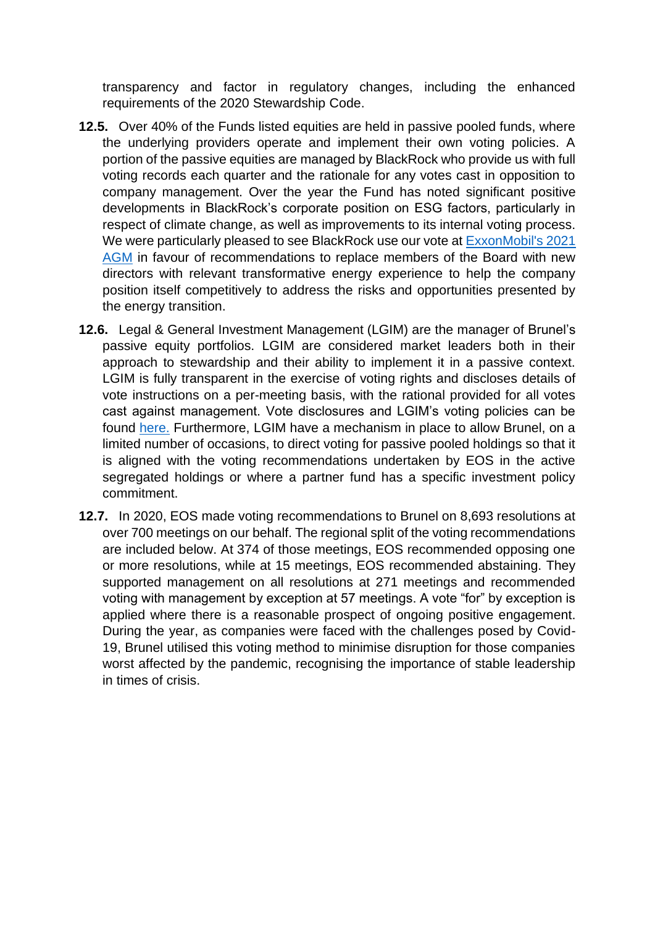transparency and factor in regulatory changes, including the enhanced requirements of the 2020 Stewardship Code.

- **12.5.** Over 40% of the Funds listed equities are held in passive pooled funds, where the underlying providers operate and implement their own voting policies. A portion of the passive equities are managed by BlackRock who provide us with full voting records each quarter and the rationale for any votes cast in opposition to company management. Over the year the Fund has noted significant positive developments in BlackRock's corporate position on ESG factors, particularly in respect of climate change, as well as improvements to its internal voting process. We were particularly pleased to see BlackRock use our vote at [ExxonMobil's 2021](https://www.blackrock.com/corporate/literature/press-release/blk-vote-bulletin-exxon-may-2021.pdf)  [AGM](https://www.blackrock.com/corporate/literature/press-release/blk-vote-bulletin-exxon-may-2021.pdf) in favour of recommendations to replace members of the Board with new directors with relevant transformative energy experience to help the company position itself competitively to address the risks and opportunities presented by the energy transition.
- **12.6.** Legal & General Investment Management (LGIM) are the manager of Brunel's passive equity portfolios. LGIM are considered market leaders both in their approach to stewardship and their ability to implement it in a passive context. LGIM is fully transparent in the exercise of voting rights and discloses details of vote instructions on a per-meeting basis, with the rational provided for all votes cast against management. Vote disclosures and LGIM's voting policies can be found [here.](https://vds.issgovernance.com/vds/#/MjU2NQ==/) Furthermore, LGIM have a mechanism in place to allow Brunel, on a limited number of occasions, to direct voting for passive pooled holdings so that it is aligned with the voting recommendations undertaken by EOS in the active segregated holdings or where a partner fund has a specific investment policy commitment.
- **12.7.** In 2020, EOS made voting recommendations to Brunel on 8,693 resolutions at over 700 meetings on our behalf. The regional split of the voting recommendations are included below. At 374 of those meetings, EOS recommended opposing one or more resolutions, while at 15 meetings, EOS recommended abstaining. They supported management on all resolutions at 271 meetings and recommended voting with management by exception at 57 meetings. A vote "for" by exception is applied where there is a reasonable prospect of ongoing positive engagement. During the year, as companies were faced with the challenges posed by Covid-19, Brunel utilised this voting method to minimise disruption for those companies worst affected by the pandemic, recognising the importance of stable leadership in times of crisis.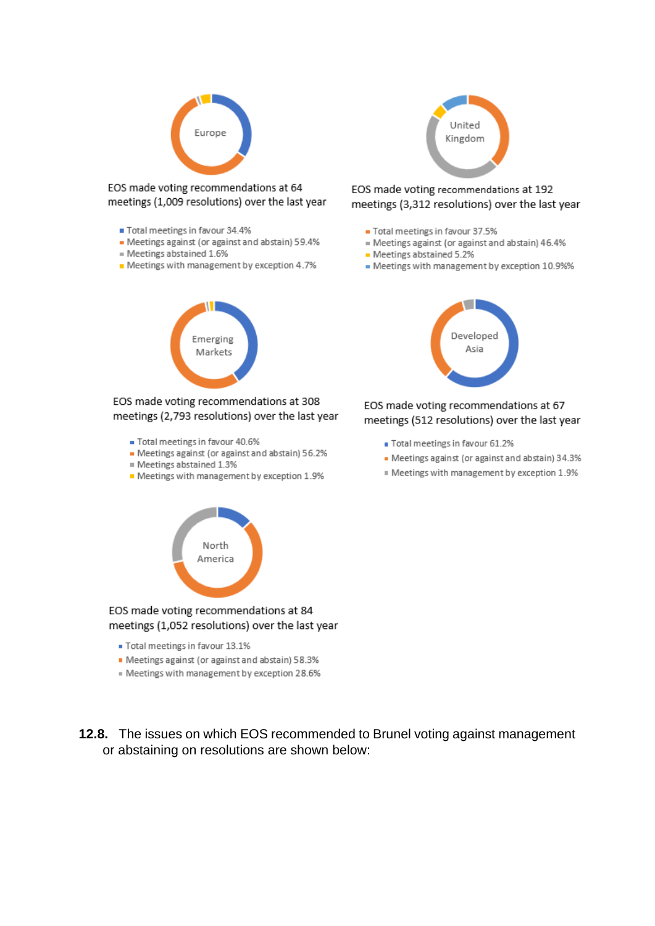

EOS made voting recommendations at 64 meetings (1,009 resolutions) over the last year

- Total meetings in favour 34.4%
- Meetings against (or against and abstain) 59.4%
- = Meetings abstained 1.6%
- Meetings with management by exception 4.7%

Emerging

Markets

EOS made voting recommendations at 308





EOS made voting recommendations at 192 meetings (3,312 resolutions) over the last year

- Total meetings in favour 37.5%
- = Meetings against (or against and abstain) 46.4%
- Meetings abstained 5.2%
- Meetings with management by exception 10.9%%



EOS made voting recommendations at 67 meetings (512 resolutions) over the last year

- Total meetings in favour 61.2%
- · Meetings against (or against and abstain) 34.3%
- " Meetings with management by exception 1.9%



- Meetings against (or against and abstain) 56.2%

meetings (2,793 resolutions) over the last year

- Meetings abstained 1.3%
- Meetings with management by exception 1.9%



### EOS made voting recommendations at 84 meetings (1,052 resolutions) over the last year

- Total meetings in favour 13.1%
- Meetings against (or against and abstain) 58.3%
- Meetings with management by exception 28.6%
- **12.8.** The issues on which EOS recommended to Brunel voting against management or abstaining on resolutions are shown below: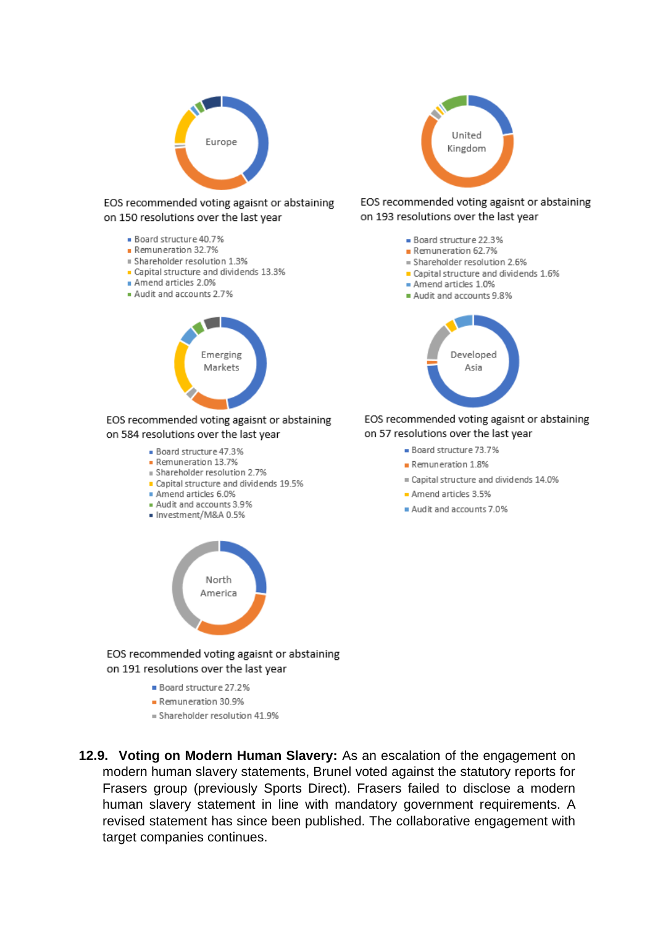

EOS recommended voting agaisnt or abstaining on 150 resolutions over the last year

- Board structure 40.7%
- Remuneration 32.7%
- Shareholder resolution 1.3%
- Capital structure and dividends 13.3%
- Amend articles 2.0%
- Audit and accounts 2.7%



EOS recommended voting agaisnt or abstaining on 584 resolutions over the last year

- Board structure 47.3%
- Remuneration 13.7%
- Bhareholder resolution 2.7%
- Capital structure and dividends 19.5%
- Amend articles 6.0%
- Audit and accounts 3.9%
- · Investment/M&A 0.5%



EOS recommended voting agaisnt or abstaining on 191 resolutions over the last year

- Board structure 27.2%
- Remuneration 30.9%
- = Shareholder resolution 41.9%





### EOS recommended voting agaisnt or abstaining on 193 resolutions over the last year

- Board structure 22.3%
- Remuneration 62.7%
- = Shareholder resolution 2.6%
- Capital structure and dividends 1.6%
- Amend articles 1.0%
- Audit and accounts 9.8%



EOS recommended voting agaisnt or abstaining on 57 resolutions over the last year

- Board structure 73.7%
- Remuneration 1.8%
- Capital structure and dividends 14.0%
- Amend articles 3.5%
- Audit and accounts 7.0%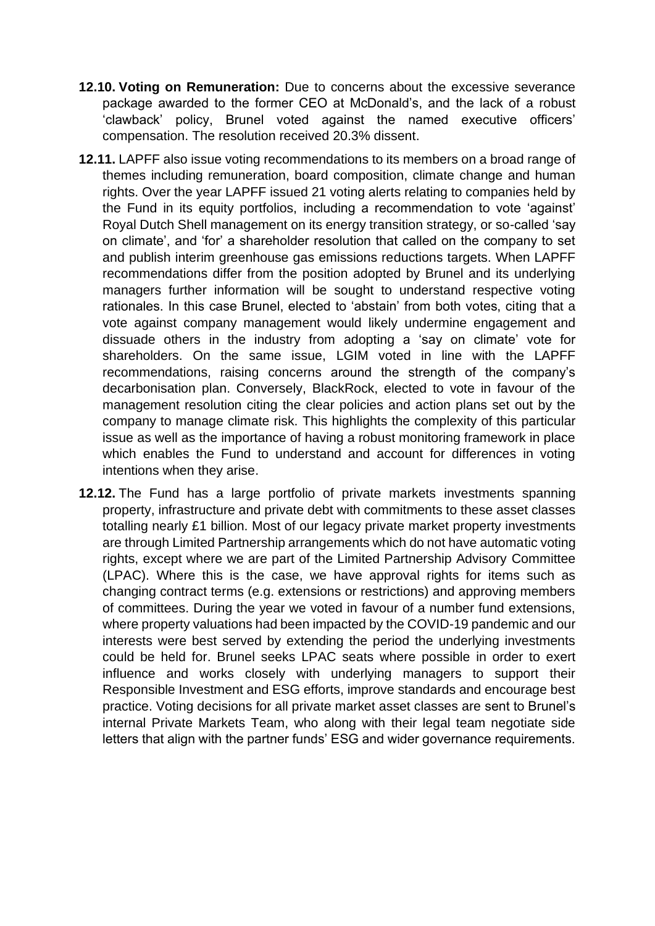- **12.10. Voting on Remuneration:** Due to concerns about the excessive severance package awarded to the former CEO at McDonald's, and the lack of a robust 'clawback' policy, Brunel voted against the named executive officers' compensation. The resolution received 20.3% dissent.
- **12.11.** LAPFF also issue voting recommendations to its members on a broad range of themes including remuneration, board composition, climate change and human rights. Over the year LAPFF issued 21 voting alerts relating to companies held by the Fund in its equity portfolios, including a recommendation to vote 'against' Royal Dutch Shell management on its energy transition strategy, or so-called 'say on climate', and 'for' a shareholder resolution that called on the company to set and publish interim greenhouse gas emissions reductions targets. When LAPFF recommendations differ from the position adopted by Brunel and its underlying managers further information will be sought to understand respective voting rationales. In this case Brunel, elected to 'abstain' from both votes, citing that a vote against company management would likely undermine engagement and dissuade others in the industry from adopting a 'say on climate' vote for shareholders. On the same issue, LGIM voted in line with the LAPFF recommendations, raising concerns around the strength of the company's decarbonisation plan. Conversely, BlackRock, elected to vote in favour of the management resolution citing the clear policies and action plans set out by the company to manage climate risk. This highlights the complexity of this particular issue as well as the importance of having a robust monitoring framework in place which enables the Fund to understand and account for differences in voting intentions when they arise.
- **12.12.** The Fund has a large portfolio of private markets investments spanning property, infrastructure and private debt with commitments to these asset classes totalling nearly £1 billion. Most of our legacy private market property investments are through Limited Partnership arrangements which do not have automatic voting rights, except where we are part of the Limited Partnership Advisory Committee (LPAC). Where this is the case, we have approval rights for items such as changing contract terms (e.g. extensions or restrictions) and approving members of committees. During the year we voted in favour of a number fund extensions, where property valuations had been impacted by the COVID-19 pandemic and our interests were best served by extending the period the underlying investments could be held for. Brunel seeks LPAC seats where possible in order to exert influence and works closely with underlying managers to support their Responsible Investment and ESG efforts, improve standards and encourage best practice. Voting decisions for all private market asset classes are sent to Brunel's internal Private Markets Team, who along with their legal team negotiate side letters that align with the partner funds' ESG and wider governance requirements.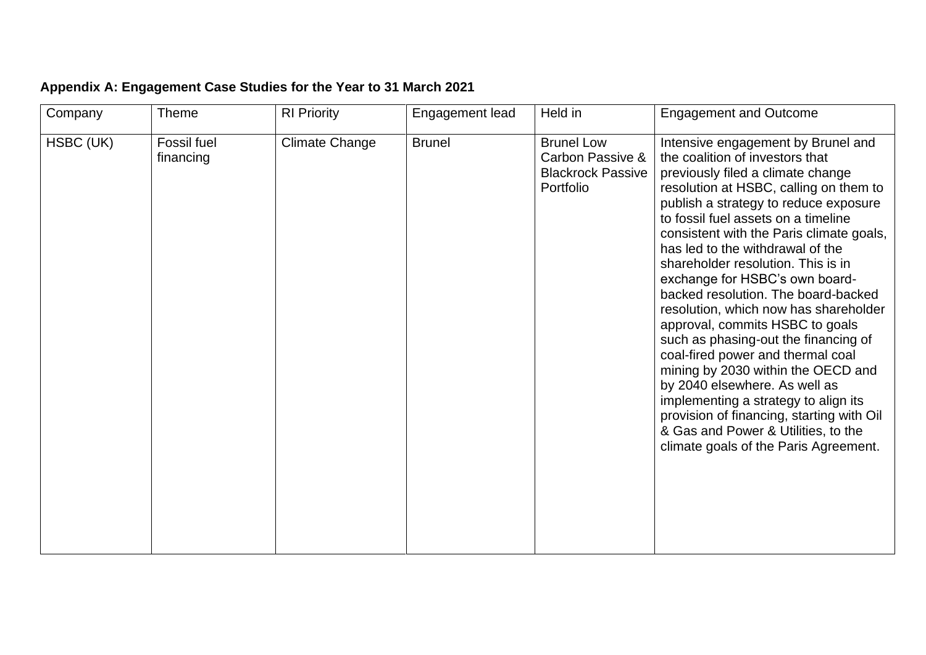| Appendix A: Engagement Case Studies for the Year to 31 March 2021 |  |  |  |  |
|-------------------------------------------------------------------|--|--|--|--|
|                                                                   |  |  |  |  |

| Company   | Theme                    | <b>RI Priority</b>    | Engagement lead | Held in                                                                        | <b>Engagement and Outcome</b>                                                                                                                                                                                                                                                                                                                                                                                                                                                                                                                                                                                                                                                                                                                                                                                                            |
|-----------|--------------------------|-----------------------|-----------------|--------------------------------------------------------------------------------|------------------------------------------------------------------------------------------------------------------------------------------------------------------------------------------------------------------------------------------------------------------------------------------------------------------------------------------------------------------------------------------------------------------------------------------------------------------------------------------------------------------------------------------------------------------------------------------------------------------------------------------------------------------------------------------------------------------------------------------------------------------------------------------------------------------------------------------|
| HSBC (UK) | Fossil fuel<br>financing | <b>Climate Change</b> | <b>Brunel</b>   | <b>Brunel Low</b><br>Carbon Passive &<br><b>Blackrock Passive</b><br>Portfolio | Intensive engagement by Brunel and<br>the coalition of investors that<br>previously filed a climate change<br>resolution at HSBC, calling on them to<br>publish a strategy to reduce exposure<br>to fossil fuel assets on a timeline<br>consistent with the Paris climate goals,<br>has led to the withdrawal of the<br>shareholder resolution. This is in<br>exchange for HSBC's own board-<br>backed resolution. The board-backed<br>resolution, which now has shareholder<br>approval, commits HSBC to goals<br>such as phasing-out the financing of<br>coal-fired power and thermal coal<br>mining by 2030 within the OECD and<br>by 2040 elsewhere. As well as<br>implementing a strategy to align its<br>provision of financing, starting with Oil<br>& Gas and Power & Utilities, to the<br>climate goals of the Paris Agreement. |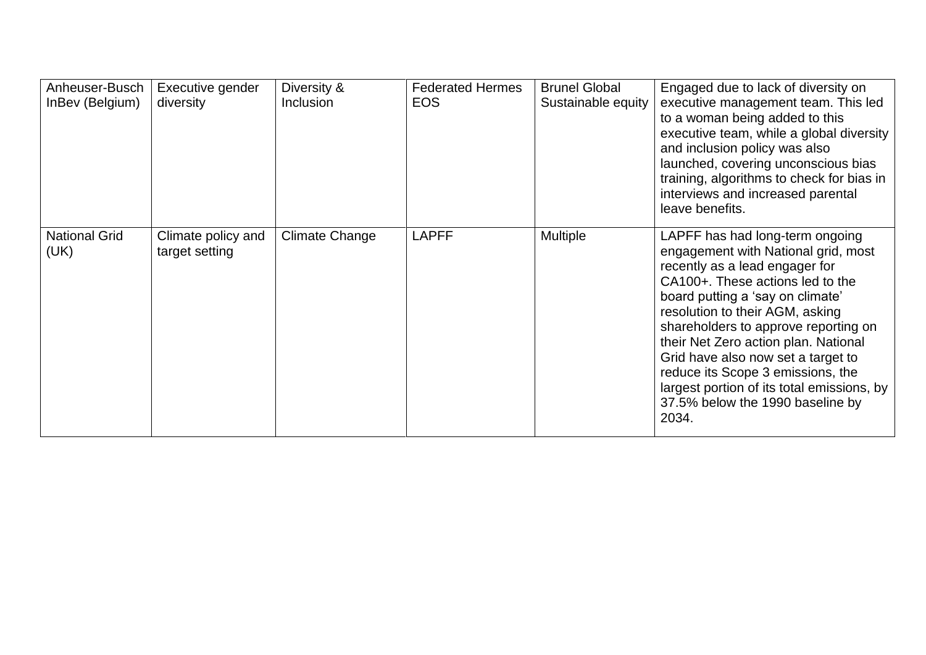| Anheuser-Busch               | Executive gender                     | Diversity &           | <b>Federated Hermes</b> | <b>Brunel Global</b> | Engaged due to lack of diversity on                                                                                                                                                                                                                                                                                                                                                                                                                                       |
|------------------------------|--------------------------------------|-----------------------|-------------------------|----------------------|---------------------------------------------------------------------------------------------------------------------------------------------------------------------------------------------------------------------------------------------------------------------------------------------------------------------------------------------------------------------------------------------------------------------------------------------------------------------------|
| InBev (Belgium)              | diversity                            | Inclusion             | <b>EOS</b>              | Sustainable equity   | executive management team. This led<br>to a woman being added to this<br>executive team, while a global diversity<br>and inclusion policy was also<br>launched, covering unconscious bias<br>training, algorithms to check for bias in<br>interviews and increased parental<br>leave benefits.                                                                                                                                                                            |
| <b>National Grid</b><br>(UK) | Climate policy and<br>target setting | <b>Climate Change</b> | <b>LAPFF</b>            | <b>Multiple</b>      | LAPFF has had long-term ongoing<br>engagement with National grid, most<br>recently as a lead engager for<br>CA100+. These actions led to the<br>board putting a 'say on climate'<br>resolution to their AGM, asking<br>shareholders to approve reporting on<br>their Net Zero action plan. National<br>Grid have also now set a target to<br>reduce its Scope 3 emissions, the<br>largest portion of its total emissions, by<br>37.5% below the 1990 baseline by<br>2034. |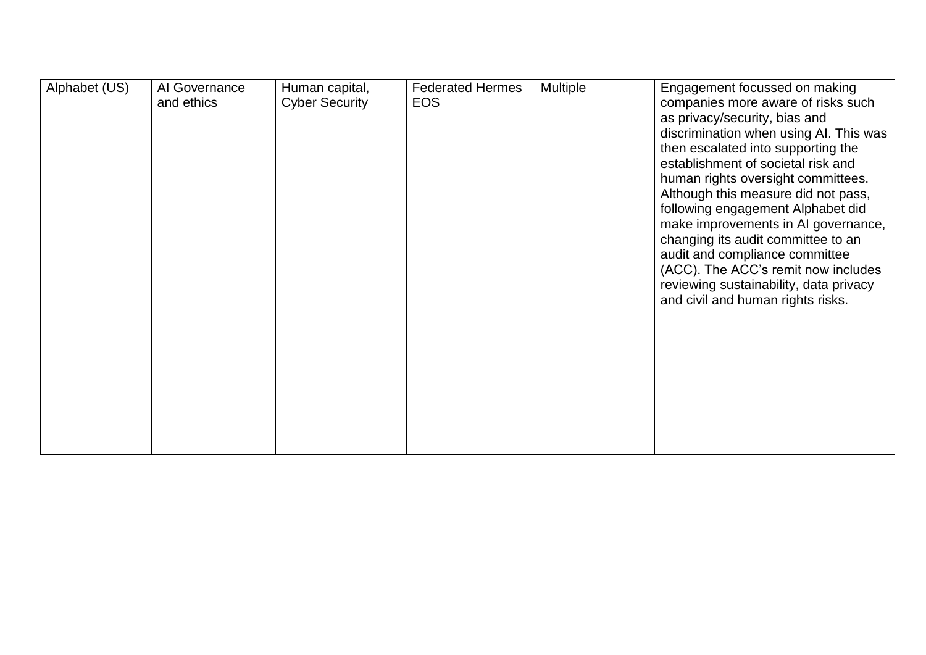| Alphabet (US) | Al Governance<br>and ethics | Human capital,<br><b>Cyber Security</b> | <b>Federated Hermes</b><br><b>EOS</b> | Multiple | Engagement focussed on making<br>companies more aware of risks such<br>as privacy/security, bias and<br>discrimination when using AI. This was<br>then escalated into supporting the<br>establishment of societal risk and<br>human rights oversight committees.<br>Although this measure did not pass,<br>following engagement Alphabet did<br>make improvements in AI governance,<br>changing its audit committee to an<br>audit and compliance committee<br>(ACC). The ACC's remit now includes<br>reviewing sustainability, data privacy<br>and civil and human rights risks. |
|---------------|-----------------------------|-----------------------------------------|---------------------------------------|----------|-----------------------------------------------------------------------------------------------------------------------------------------------------------------------------------------------------------------------------------------------------------------------------------------------------------------------------------------------------------------------------------------------------------------------------------------------------------------------------------------------------------------------------------------------------------------------------------|
|               |                             |                                         |                                       |          |                                                                                                                                                                                                                                                                                                                                                                                                                                                                                                                                                                                   |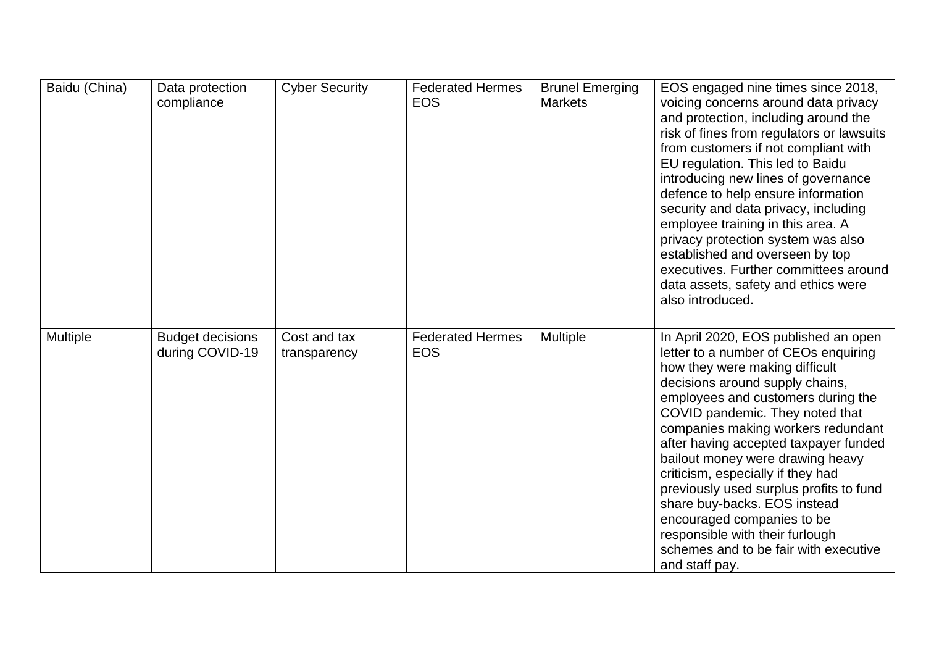| Baidu (China) | Data protection<br>compliance              | <b>Cyber Security</b>        | <b>Federated Hermes</b><br><b>EOS</b> | <b>Brunel Emerging</b><br><b>Markets</b> | EOS engaged nine times since 2018,<br>voicing concerns around data privacy<br>and protection, including around the<br>risk of fines from regulators or lawsuits<br>from customers if not compliant with<br>EU regulation. This led to Baidu<br>introducing new lines of governance<br>defence to help ensure information<br>security and data privacy, including<br>employee training in this area. A<br>privacy protection system was also<br>established and overseen by top<br>executives. Further committees around<br>data assets, safety and ethics were<br>also introduced.        |
|---------------|--------------------------------------------|------------------------------|---------------------------------------|------------------------------------------|-------------------------------------------------------------------------------------------------------------------------------------------------------------------------------------------------------------------------------------------------------------------------------------------------------------------------------------------------------------------------------------------------------------------------------------------------------------------------------------------------------------------------------------------------------------------------------------------|
| Multiple      | <b>Budget decisions</b><br>during COVID-19 | Cost and tax<br>transparency | <b>Federated Hermes</b><br><b>EOS</b> | Multiple                                 | In April 2020, EOS published an open<br>letter to a number of CEOs enquiring<br>how they were making difficult<br>decisions around supply chains,<br>employees and customers during the<br>COVID pandemic. They noted that<br>companies making workers redundant<br>after having accepted taxpayer funded<br>bailout money were drawing heavy<br>criticism, especially if they had<br>previously used surplus profits to fund<br>share buy-backs. EOS instead<br>encouraged companies to be<br>responsible with their furlough<br>schemes and to be fair with executive<br>and staff pay. |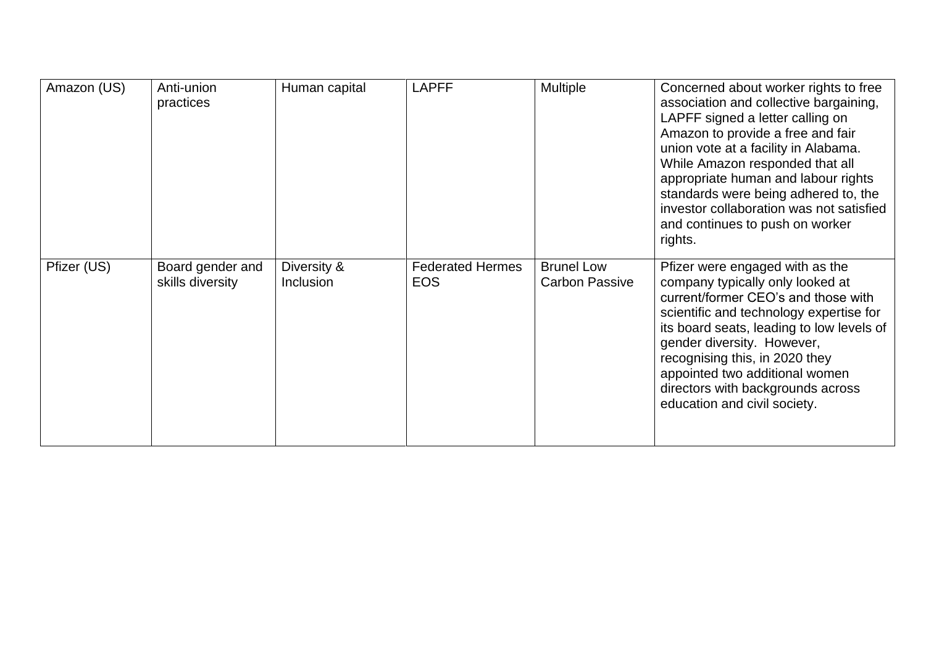| Amazon (US) | Anti-union<br>practices              | Human capital            | <b>LAPFF</b>                          | Multiple                                   | Concerned about worker rights to free<br>association and collective bargaining,<br>LAPFF signed a letter calling on<br>Amazon to provide a free and fair<br>union vote at a facility in Alabama.<br>While Amazon responded that all<br>appropriate human and labour rights<br>standards were being adhered to, the<br>investor collaboration was not satisfied<br>and continues to push on worker<br>rights. |
|-------------|--------------------------------------|--------------------------|---------------------------------------|--------------------------------------------|--------------------------------------------------------------------------------------------------------------------------------------------------------------------------------------------------------------------------------------------------------------------------------------------------------------------------------------------------------------------------------------------------------------|
| Pfizer (US) | Board gender and<br>skills diversity | Diversity &<br>Inclusion | <b>Federated Hermes</b><br><b>EOS</b> | <b>Brunel Low</b><br><b>Carbon Passive</b> | Pfizer were engaged with as the<br>company typically only looked at<br>current/former CEO's and those with<br>scientific and technology expertise for<br>its board seats, leading to low levels of<br>gender diversity. However,<br>recognising this, in 2020 they<br>appointed two additional women<br>directors with backgrounds across<br>education and civil society.                                    |